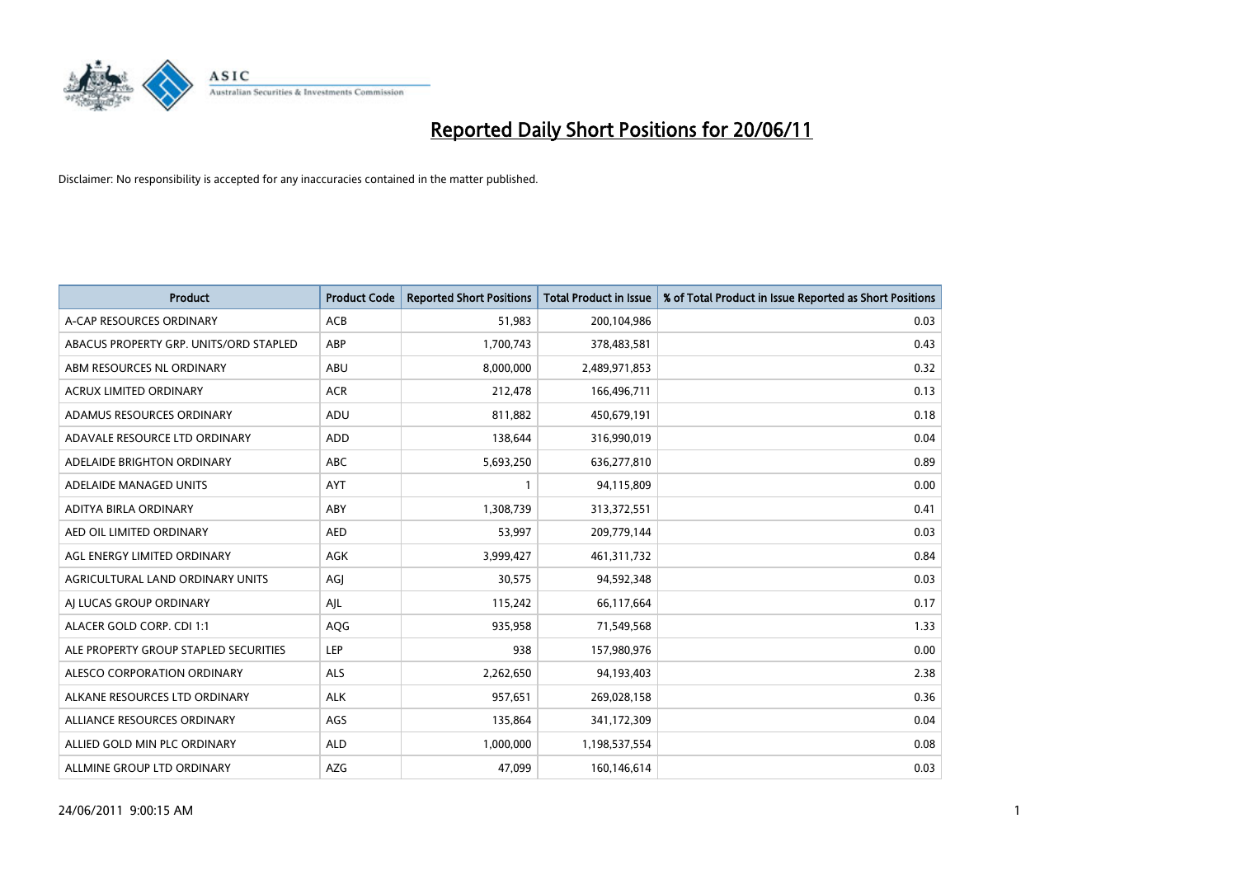

| <b>Product</b>                         | <b>Product Code</b> | <b>Reported Short Positions</b> | <b>Total Product in Issue</b> | % of Total Product in Issue Reported as Short Positions |
|----------------------------------------|---------------------|---------------------------------|-------------------------------|---------------------------------------------------------|
| A-CAP RESOURCES ORDINARY               | ACB                 | 51,983                          | 200,104,986                   | 0.03                                                    |
| ABACUS PROPERTY GRP. UNITS/ORD STAPLED | ABP                 | 1,700,743                       | 378,483,581                   | 0.43                                                    |
| ABM RESOURCES NL ORDINARY              | ABU                 | 8,000,000                       | 2,489,971,853                 | 0.32                                                    |
| ACRUX LIMITED ORDINARY                 | <b>ACR</b>          | 212,478                         | 166,496,711                   | 0.13                                                    |
| ADAMUS RESOURCES ORDINARY              | ADU                 | 811,882                         | 450,679,191                   | 0.18                                                    |
| ADAVALE RESOURCE LTD ORDINARY          | <b>ADD</b>          | 138,644                         | 316,990,019                   | 0.04                                                    |
| ADELAIDE BRIGHTON ORDINARY             | <b>ABC</b>          | 5,693,250                       | 636,277,810                   | 0.89                                                    |
| ADELAIDE MANAGED UNITS                 | <b>AYT</b>          |                                 | 94,115,809                    | 0.00                                                    |
| ADITYA BIRLA ORDINARY                  | ABY                 | 1,308,739                       | 313,372,551                   | 0.41                                                    |
| AED OIL LIMITED ORDINARY               | <b>AED</b>          | 53,997                          | 209,779,144                   | 0.03                                                    |
| AGL ENERGY LIMITED ORDINARY            | <b>AGK</b>          | 3,999,427                       | 461,311,732                   | 0.84                                                    |
| AGRICULTURAL LAND ORDINARY UNITS       | AGJ                 | 30,575                          | 94,592,348                    | 0.03                                                    |
| AI LUCAS GROUP ORDINARY                | AJL                 | 115,242                         | 66,117,664                    | 0.17                                                    |
| ALACER GOLD CORP. CDI 1:1              | AQG                 | 935,958                         | 71,549,568                    | 1.33                                                    |
| ALE PROPERTY GROUP STAPLED SECURITIES  | LEP                 | 938                             | 157,980,976                   | 0.00                                                    |
| ALESCO CORPORATION ORDINARY            | <b>ALS</b>          | 2,262,650                       | 94,193,403                    | 2.38                                                    |
| ALKANE RESOURCES LTD ORDINARY          | ALK                 | 957,651                         | 269,028,158                   | 0.36                                                    |
| ALLIANCE RESOURCES ORDINARY            | AGS                 | 135,864                         | 341,172,309                   | 0.04                                                    |
| ALLIED GOLD MIN PLC ORDINARY           | <b>ALD</b>          | 1,000,000                       | 1,198,537,554                 | 0.08                                                    |
| ALLMINE GROUP LTD ORDINARY             | <b>AZG</b>          | 47,099                          | 160,146,614                   | 0.03                                                    |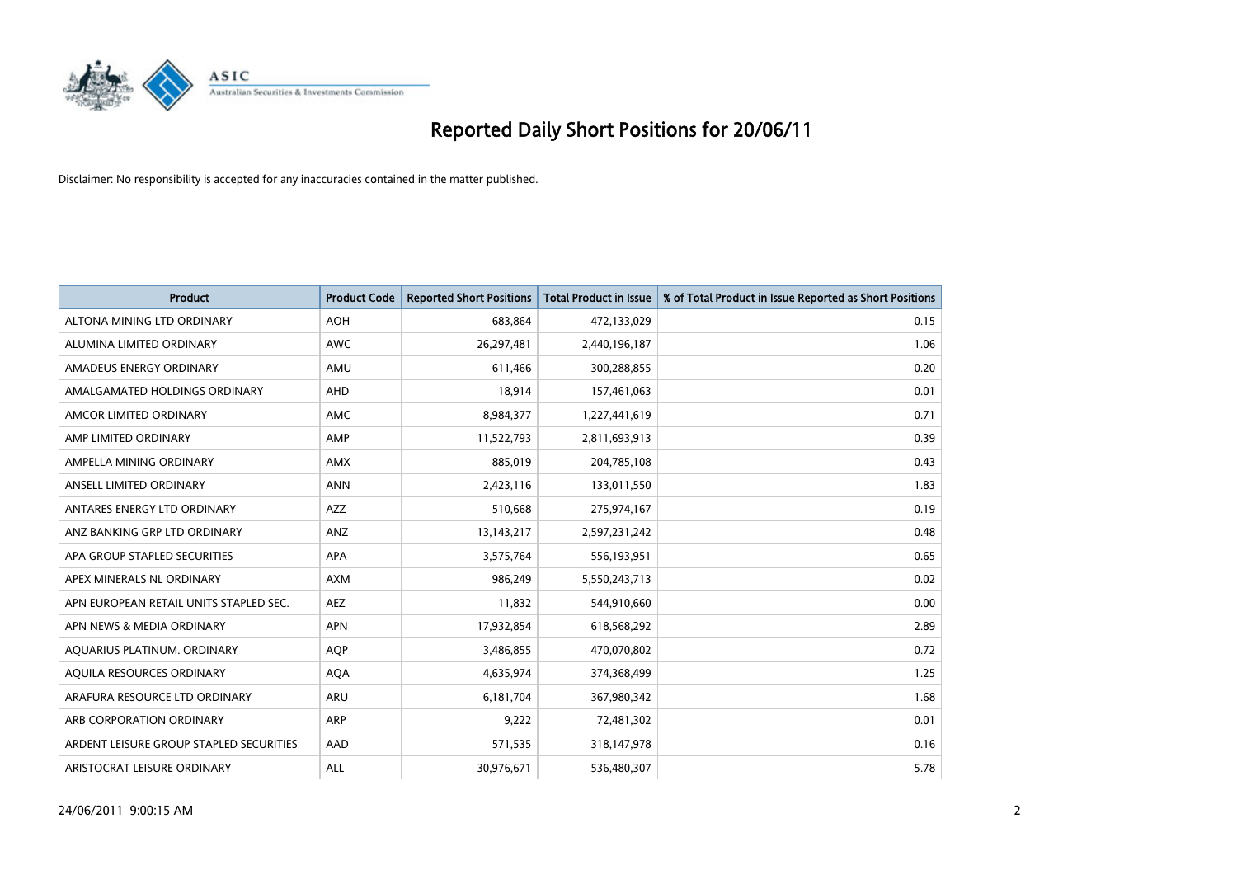

| <b>Product</b>                          | <b>Product Code</b> | <b>Reported Short Positions</b> | <b>Total Product in Issue</b> | % of Total Product in Issue Reported as Short Positions |
|-----------------------------------------|---------------------|---------------------------------|-------------------------------|---------------------------------------------------------|
| ALTONA MINING LTD ORDINARY              | <b>AOH</b>          | 683,864                         | 472,133,029                   | 0.15                                                    |
| ALUMINA LIMITED ORDINARY                | <b>AWC</b>          | 26,297,481                      | 2,440,196,187                 | 1.06                                                    |
| AMADEUS ENERGY ORDINARY                 | AMU                 | 611,466                         | 300,288,855                   | 0.20                                                    |
| AMALGAMATED HOLDINGS ORDINARY           | <b>AHD</b>          | 18,914                          | 157,461,063                   | 0.01                                                    |
| AMCOR LIMITED ORDINARY                  | <b>AMC</b>          | 8,984,377                       | 1,227,441,619                 | 0.71                                                    |
| AMP LIMITED ORDINARY                    | AMP                 | 11,522,793                      | 2,811,693,913                 | 0.39                                                    |
| AMPELLA MINING ORDINARY                 | <b>AMX</b>          | 885.019                         | 204,785,108                   | 0.43                                                    |
| ANSELL LIMITED ORDINARY                 | <b>ANN</b>          | 2,423,116                       | 133,011,550                   | 1.83                                                    |
| ANTARES ENERGY LTD ORDINARY             | <b>AZZ</b>          | 510,668                         | 275,974,167                   | 0.19                                                    |
| ANZ BANKING GRP LTD ORDINARY            | ANZ                 | 13, 143, 217                    | 2,597,231,242                 | 0.48                                                    |
| APA GROUP STAPLED SECURITIES            | <b>APA</b>          | 3,575,764                       | 556,193,951                   | 0.65                                                    |
| APEX MINERALS NL ORDINARY               | <b>AXM</b>          | 986,249                         | 5,550,243,713                 | 0.02                                                    |
| APN EUROPEAN RETAIL UNITS STAPLED SEC.  | <b>AEZ</b>          | 11,832                          | 544,910,660                   | 0.00                                                    |
| APN NEWS & MEDIA ORDINARY               | <b>APN</b>          | 17,932,854                      | 618,568,292                   | 2.89                                                    |
| AQUARIUS PLATINUM. ORDINARY             | <b>AOP</b>          | 3,486,855                       | 470,070,802                   | 0.72                                                    |
| AQUILA RESOURCES ORDINARY               | <b>AQA</b>          | 4,635,974                       | 374,368,499                   | 1.25                                                    |
| ARAFURA RESOURCE LTD ORDINARY           | <b>ARU</b>          | 6,181,704                       | 367,980,342                   | 1.68                                                    |
| ARB CORPORATION ORDINARY                | <b>ARP</b>          | 9,222                           | 72,481,302                    | 0.01                                                    |
| ARDENT LEISURE GROUP STAPLED SECURITIES | AAD                 | 571,535                         | 318,147,978                   | 0.16                                                    |
| ARISTOCRAT LEISURE ORDINARY             | <b>ALL</b>          | 30,976,671                      | 536,480,307                   | 5.78                                                    |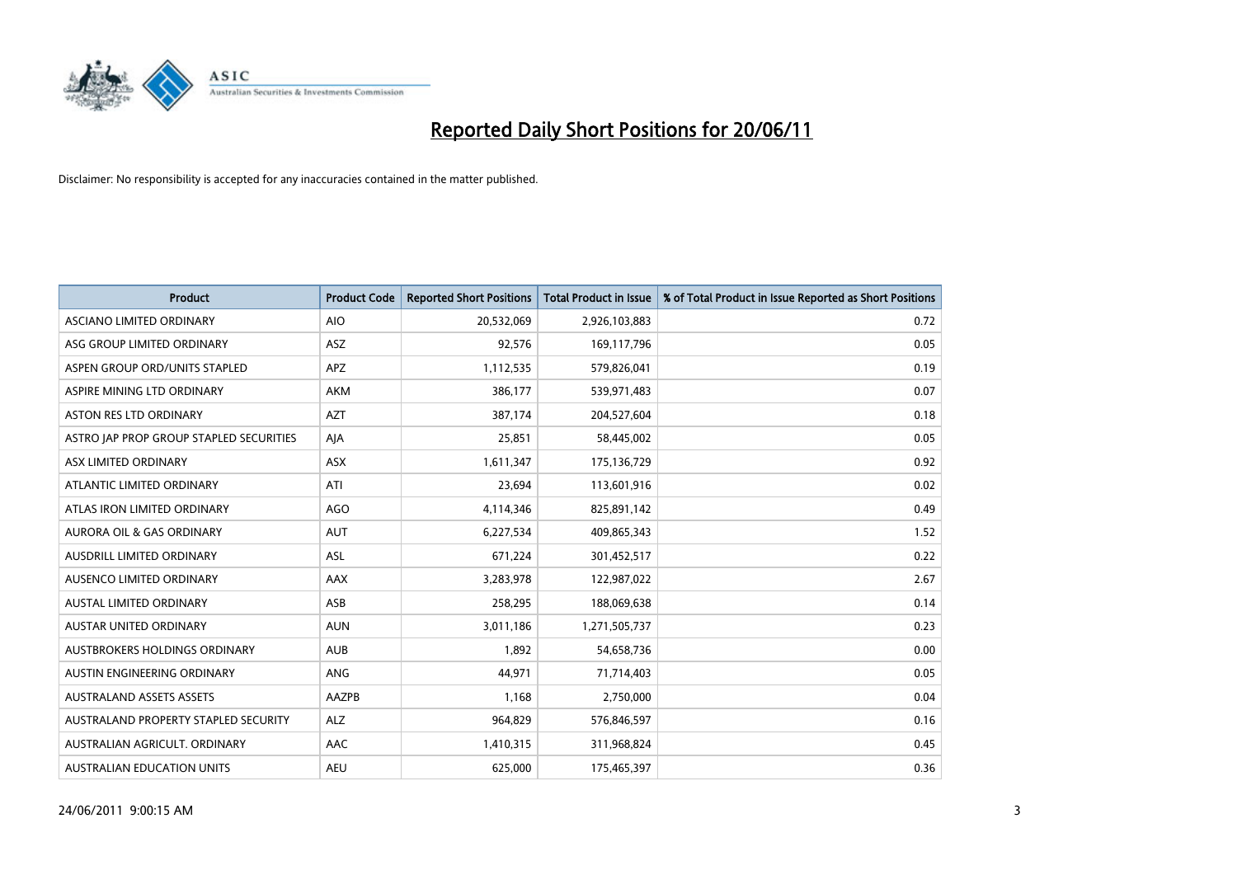

| <b>Product</b>                          | <b>Product Code</b> | <b>Reported Short Positions</b> | <b>Total Product in Issue</b> | % of Total Product in Issue Reported as Short Positions |
|-----------------------------------------|---------------------|---------------------------------|-------------------------------|---------------------------------------------------------|
| ASCIANO LIMITED ORDINARY                | <b>AIO</b>          | 20,532,069                      | 2,926,103,883                 | 0.72                                                    |
| ASG GROUP LIMITED ORDINARY              | ASZ                 | 92,576                          | 169,117,796                   | 0.05                                                    |
| ASPEN GROUP ORD/UNITS STAPLED           | <b>APZ</b>          | 1,112,535                       | 579,826,041                   | 0.19                                                    |
| ASPIRE MINING LTD ORDINARY              | <b>AKM</b>          | 386,177                         | 539,971,483                   | 0.07                                                    |
| <b>ASTON RES LTD ORDINARY</b>           | <b>AZT</b>          | 387.174                         | 204,527,604                   | 0.18                                                    |
| ASTRO JAP PROP GROUP STAPLED SECURITIES | AJA                 | 25,851                          | 58,445,002                    | 0.05                                                    |
| ASX LIMITED ORDINARY                    | <b>ASX</b>          | 1,611,347                       | 175,136,729                   | 0.92                                                    |
| ATLANTIC LIMITED ORDINARY               | ATI                 | 23,694                          | 113,601,916                   | 0.02                                                    |
| ATLAS IRON LIMITED ORDINARY             | <b>AGO</b>          | 4,114,346                       | 825,891,142                   | 0.49                                                    |
| <b>AURORA OIL &amp; GAS ORDINARY</b>    | <b>AUT</b>          | 6,227,534                       | 409,865,343                   | 1.52                                                    |
| AUSDRILL LIMITED ORDINARY               | <b>ASL</b>          | 671,224                         | 301,452,517                   | 0.22                                                    |
| AUSENCO LIMITED ORDINARY                | AAX                 | 3,283,978                       | 122,987,022                   | 2.67                                                    |
| <b>AUSTAL LIMITED ORDINARY</b>          | ASB                 | 258,295                         | 188,069,638                   | 0.14                                                    |
| AUSTAR UNITED ORDINARY                  | <b>AUN</b>          | 3,011,186                       | 1,271,505,737                 | 0.23                                                    |
| AUSTBROKERS HOLDINGS ORDINARY           | <b>AUB</b>          | 1,892                           | 54,658,736                    | 0.00                                                    |
| AUSTIN ENGINEERING ORDINARY             | ANG                 | 44,971                          | 71,714,403                    | 0.05                                                    |
| <b>AUSTRALAND ASSETS ASSETS</b>         | AAZPB               | 1,168                           | 2,750,000                     | 0.04                                                    |
| AUSTRALAND PROPERTY STAPLED SECURITY    | <b>ALZ</b>          | 964,829                         | 576,846,597                   | 0.16                                                    |
| AUSTRALIAN AGRICULT, ORDINARY           | AAC                 | 1,410,315                       | 311,968,824                   | 0.45                                                    |
| AUSTRALIAN EDUCATION UNITS              | <b>AEU</b>          | 625.000                         | 175,465,397                   | 0.36                                                    |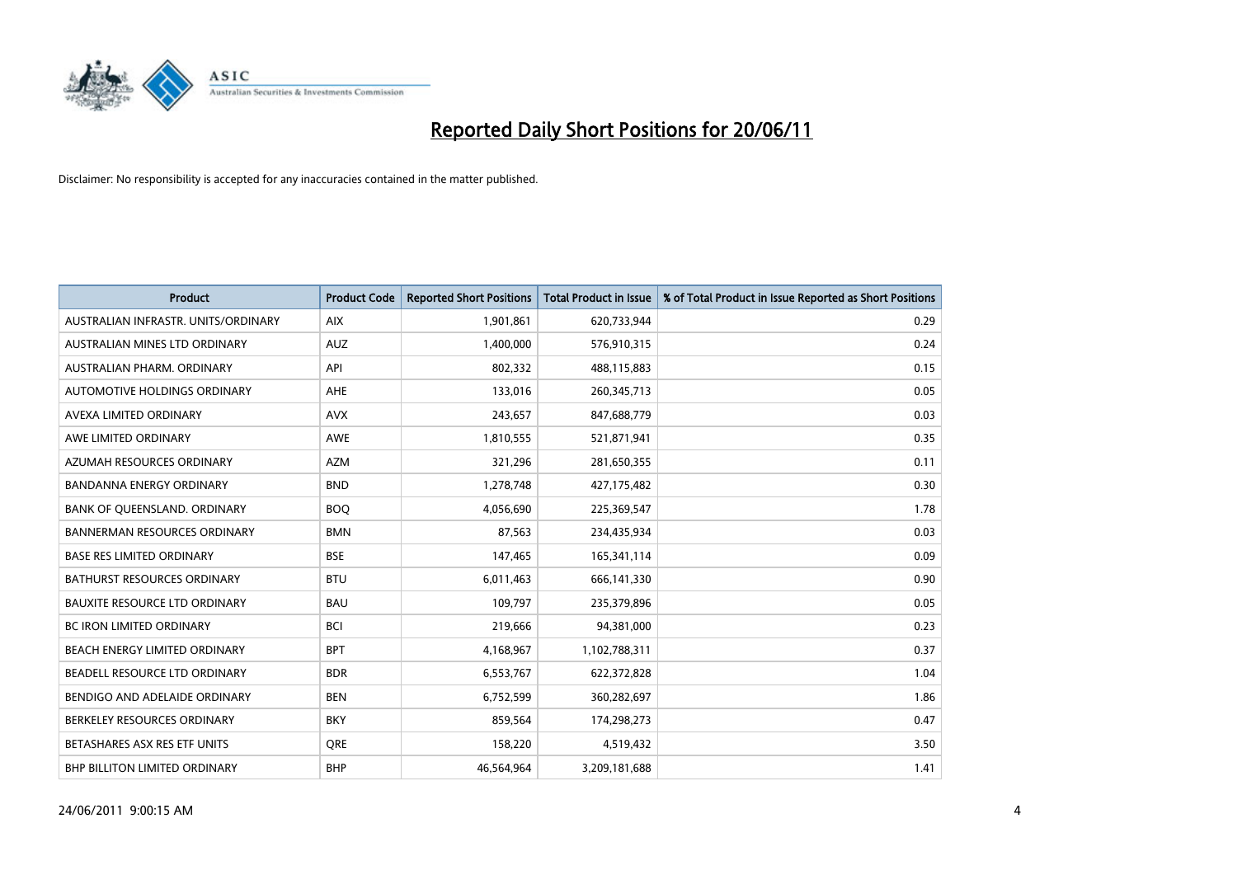

| <b>Product</b>                       | <b>Product Code</b> | <b>Reported Short Positions</b> | <b>Total Product in Issue</b> | % of Total Product in Issue Reported as Short Positions |
|--------------------------------------|---------------------|---------------------------------|-------------------------------|---------------------------------------------------------|
| AUSTRALIAN INFRASTR, UNITS/ORDINARY  | <b>AIX</b>          | 1,901,861                       | 620,733,944                   | 0.29                                                    |
| AUSTRALIAN MINES LTD ORDINARY        | <b>AUZ</b>          | 1,400,000                       | 576,910,315                   | 0.24                                                    |
| AUSTRALIAN PHARM, ORDINARY           | API                 | 802,332                         | 488,115,883                   | 0.15                                                    |
| AUTOMOTIVE HOLDINGS ORDINARY         | <b>AHE</b>          | 133,016                         | 260,345,713                   | 0.05                                                    |
| AVEXA LIMITED ORDINARY               | <b>AVX</b>          | 243,657                         | 847,688,779                   | 0.03                                                    |
| AWE LIMITED ORDINARY                 | <b>AWE</b>          | 1,810,555                       | 521,871,941                   | 0.35                                                    |
| AZUMAH RESOURCES ORDINARY            | <b>AZM</b>          | 321,296                         | 281,650,355                   | 0.11                                                    |
| <b>BANDANNA ENERGY ORDINARY</b>      | <b>BND</b>          | 1,278,748                       | 427,175,482                   | 0.30                                                    |
| BANK OF QUEENSLAND. ORDINARY         | <b>BOO</b>          | 4,056,690                       | 225,369,547                   | 1.78                                                    |
| <b>BANNERMAN RESOURCES ORDINARY</b>  | <b>BMN</b>          | 87,563                          | 234,435,934                   | 0.03                                                    |
| BASE RES LIMITED ORDINARY            | <b>BSE</b>          | 147,465                         | 165,341,114                   | 0.09                                                    |
| <b>BATHURST RESOURCES ORDINARY</b>   | <b>BTU</b>          | 6,011,463                       | 666,141,330                   | 0.90                                                    |
| <b>BAUXITE RESOURCE LTD ORDINARY</b> | <b>BAU</b>          | 109,797                         | 235,379,896                   | 0.05                                                    |
| <b>BC IRON LIMITED ORDINARY</b>      | <b>BCI</b>          | 219,666                         | 94,381,000                    | 0.23                                                    |
| BEACH ENERGY LIMITED ORDINARY        | <b>BPT</b>          | 4,168,967                       | 1,102,788,311                 | 0.37                                                    |
| BEADELL RESOURCE LTD ORDINARY        | <b>BDR</b>          | 6,553,767                       | 622,372,828                   | 1.04                                                    |
| BENDIGO AND ADELAIDE ORDINARY        | <b>BEN</b>          | 6,752,599                       | 360,282,697                   | 1.86                                                    |
| BERKELEY RESOURCES ORDINARY          | <b>BKY</b>          | 859,564                         | 174,298,273                   | 0.47                                                    |
| BETASHARES ASX RES ETF UNITS         | <b>ORE</b>          | 158,220                         | 4,519,432                     | 3.50                                                    |
| BHP BILLITON LIMITED ORDINARY        | <b>BHP</b>          | 46,564,964                      | 3,209,181,688                 | 1.41                                                    |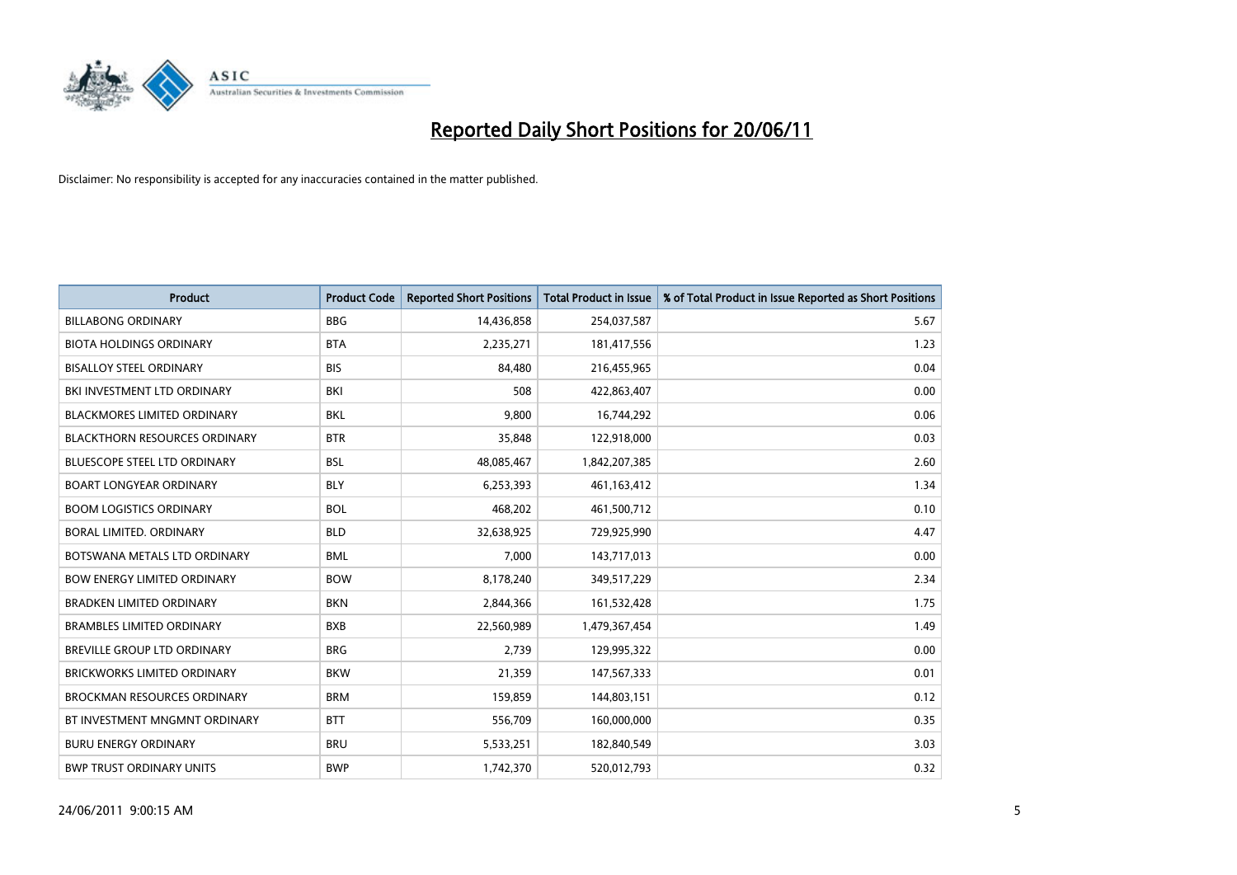

| <b>Product</b>                       | <b>Product Code</b> | <b>Reported Short Positions</b> | <b>Total Product in Issue</b> | % of Total Product in Issue Reported as Short Positions |
|--------------------------------------|---------------------|---------------------------------|-------------------------------|---------------------------------------------------------|
| <b>BILLABONG ORDINARY</b>            | <b>BBG</b>          | 14,436,858                      | 254,037,587                   | 5.67                                                    |
| <b>BIOTA HOLDINGS ORDINARY</b>       | <b>BTA</b>          | 2,235,271                       | 181,417,556                   | 1.23                                                    |
| <b>BISALLOY STEEL ORDINARY</b>       | <b>BIS</b>          | 84,480                          | 216,455,965                   | 0.04                                                    |
| BKI INVESTMENT LTD ORDINARY          | <b>BKI</b>          | 508                             | 422,863,407                   | 0.00                                                    |
| <b>BLACKMORES LIMITED ORDINARY</b>   | <b>BKL</b>          | 9,800                           | 16,744,292                    | 0.06                                                    |
| <b>BLACKTHORN RESOURCES ORDINARY</b> | <b>BTR</b>          | 35,848                          | 122,918,000                   | 0.03                                                    |
| <b>BLUESCOPE STEEL LTD ORDINARY</b>  | <b>BSL</b>          | 48,085,467                      | 1,842,207,385                 | 2.60                                                    |
| <b>BOART LONGYEAR ORDINARY</b>       | <b>BLY</b>          | 6,253,393                       | 461,163,412                   | 1.34                                                    |
| <b>BOOM LOGISTICS ORDINARY</b>       | <b>BOL</b>          | 468,202                         | 461,500,712                   | 0.10                                                    |
| <b>BORAL LIMITED, ORDINARY</b>       | <b>BLD</b>          | 32,638,925                      | 729,925,990                   | 4.47                                                    |
| BOTSWANA METALS LTD ORDINARY         | <b>BML</b>          | 7,000                           | 143,717,013                   | 0.00                                                    |
| <b>BOW ENERGY LIMITED ORDINARY</b>   | <b>BOW</b>          | 8,178,240                       | 349,517,229                   | 2.34                                                    |
| <b>BRADKEN LIMITED ORDINARY</b>      | <b>BKN</b>          | 2,844,366                       | 161,532,428                   | 1.75                                                    |
| <b>BRAMBLES LIMITED ORDINARY</b>     | <b>BXB</b>          | 22,560,989                      | 1,479,367,454                 | 1.49                                                    |
| BREVILLE GROUP LTD ORDINARY          | <b>BRG</b>          | 2,739                           | 129,995,322                   | 0.00                                                    |
| <b>BRICKWORKS LIMITED ORDINARY</b>   | <b>BKW</b>          | 21,359                          | 147,567,333                   | 0.01                                                    |
| <b>BROCKMAN RESOURCES ORDINARY</b>   | <b>BRM</b>          | 159,859                         | 144,803,151                   | 0.12                                                    |
| BT INVESTMENT MNGMNT ORDINARY        | <b>BTT</b>          | 556,709                         | 160,000,000                   | 0.35                                                    |
| <b>BURU ENERGY ORDINARY</b>          | <b>BRU</b>          | 5,533,251                       | 182,840,549                   | 3.03                                                    |
| <b>BWP TRUST ORDINARY UNITS</b>      | <b>BWP</b>          | 1,742,370                       | 520,012,793                   | 0.32                                                    |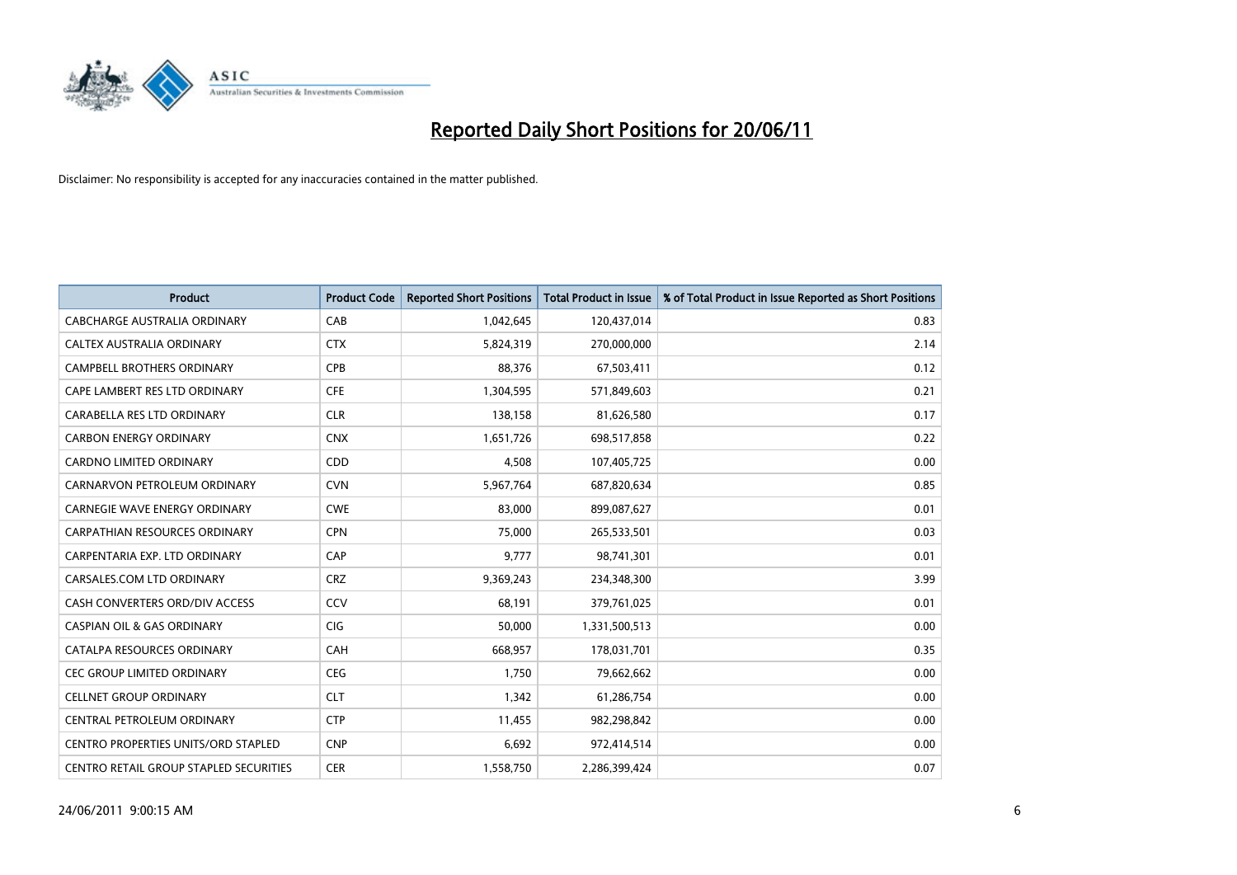

| <b>Product</b>                                | <b>Product Code</b> | <b>Reported Short Positions</b> | <b>Total Product in Issue</b> | % of Total Product in Issue Reported as Short Positions |
|-----------------------------------------------|---------------------|---------------------------------|-------------------------------|---------------------------------------------------------|
| <b>CABCHARGE AUSTRALIA ORDINARY</b>           | CAB                 | 1,042,645                       | 120,437,014                   | 0.83                                                    |
| CALTEX AUSTRALIA ORDINARY                     | <b>CTX</b>          | 5,824,319                       | 270,000,000                   | 2.14                                                    |
| <b>CAMPBELL BROTHERS ORDINARY</b>             | <b>CPB</b>          | 88.376                          | 67,503,411                    | 0.12                                                    |
| CAPE LAMBERT RES LTD ORDINARY                 | <b>CFE</b>          | 1,304,595                       | 571,849,603                   | 0.21                                                    |
| CARABELLA RES LTD ORDINARY                    | <b>CLR</b>          | 138,158                         | 81,626,580                    | 0.17                                                    |
| <b>CARBON ENERGY ORDINARY</b>                 | <b>CNX</b>          | 1,651,726                       | 698,517,858                   | 0.22                                                    |
| <b>CARDNO LIMITED ORDINARY</b>                | CDD                 | 4,508                           | 107,405,725                   | 0.00                                                    |
| CARNARVON PETROLEUM ORDINARY                  | <b>CVN</b>          | 5,967,764                       | 687,820,634                   | 0.85                                                    |
| CARNEGIE WAVE ENERGY ORDINARY                 | <b>CWE</b>          | 83,000                          | 899,087,627                   | 0.01                                                    |
| <b>CARPATHIAN RESOURCES ORDINARY</b>          | <b>CPN</b>          | 75,000                          | 265,533,501                   | 0.03                                                    |
| CARPENTARIA EXP. LTD ORDINARY                 | CAP                 | 9,777                           | 98,741,301                    | 0.01                                                    |
| CARSALES.COM LTD ORDINARY                     | <b>CRZ</b>          | 9,369,243                       | 234,348,300                   | 3.99                                                    |
| CASH CONVERTERS ORD/DIV ACCESS                | CCV                 | 68,191                          | 379,761,025                   | 0.01                                                    |
| <b>CASPIAN OIL &amp; GAS ORDINARY</b>         | <b>CIG</b>          | 50,000                          | 1,331,500,513                 | 0.00                                                    |
| CATALPA RESOURCES ORDINARY                    | CAH                 | 668,957                         | 178,031,701                   | 0.35                                                    |
| CEC GROUP LIMITED ORDINARY                    | <b>CEG</b>          | 1,750                           | 79,662,662                    | 0.00                                                    |
| <b>CELLNET GROUP ORDINARY</b>                 | <b>CLT</b>          | 1,342                           | 61,286,754                    | 0.00                                                    |
| CENTRAL PETROLEUM ORDINARY                    | <b>CTP</b>          | 11,455                          | 982,298,842                   | 0.00                                                    |
| <b>CENTRO PROPERTIES UNITS/ORD STAPLED</b>    | <b>CNP</b>          | 6,692                           | 972,414,514                   | 0.00                                                    |
| <b>CENTRO RETAIL GROUP STAPLED SECURITIES</b> | <b>CER</b>          | 1,558,750                       | 2,286,399,424                 | 0.07                                                    |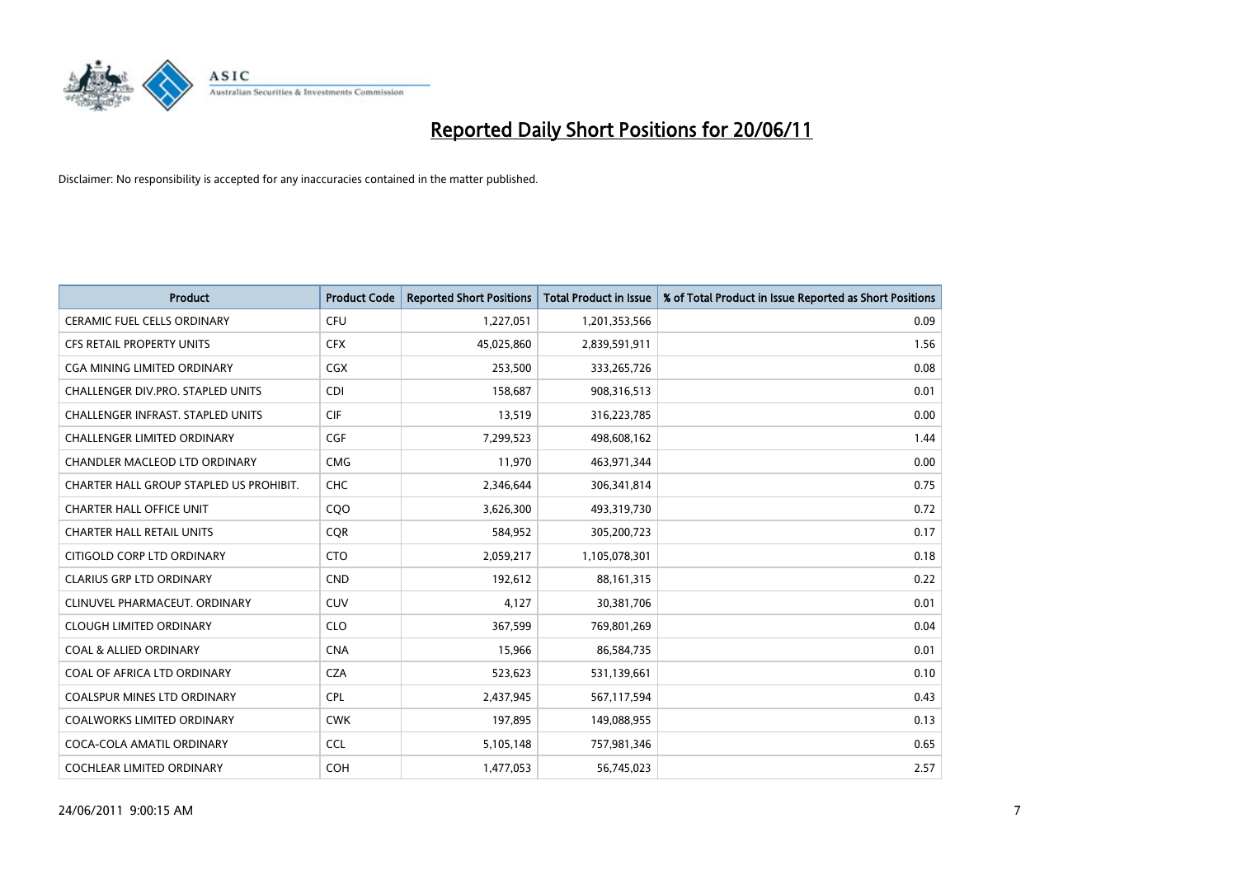

| <b>Product</b>                           | <b>Product Code</b> | <b>Reported Short Positions</b> | <b>Total Product in Issue</b> | % of Total Product in Issue Reported as Short Positions |
|------------------------------------------|---------------------|---------------------------------|-------------------------------|---------------------------------------------------------|
| <b>CERAMIC FUEL CELLS ORDINARY</b>       | CFU                 | 1,227,051                       | 1,201,353,566                 | 0.09                                                    |
| <b>CFS RETAIL PROPERTY UNITS</b>         | <b>CFX</b>          | 45,025,860                      | 2,839,591,911                 | 1.56                                                    |
| <b>CGA MINING LIMITED ORDINARY</b>       | CGX                 | 253,500                         | 333,265,726                   | 0.08                                                    |
| CHALLENGER DIV.PRO. STAPLED UNITS        | <b>CDI</b>          | 158,687                         | 908,316,513                   | 0.01                                                    |
| <b>CHALLENGER INFRAST, STAPLED UNITS</b> | <b>CIF</b>          | 13,519                          | 316,223,785                   | 0.00                                                    |
| <b>CHALLENGER LIMITED ORDINARY</b>       | CGF                 | 7,299,523                       | 498,608,162                   | 1.44                                                    |
| <b>CHANDLER MACLEOD LTD ORDINARY</b>     | <b>CMG</b>          | 11,970                          | 463,971,344                   | 0.00                                                    |
| CHARTER HALL GROUP STAPLED US PROHIBIT.  | <b>CHC</b>          | 2,346,644                       | 306,341,814                   | 0.75                                                    |
| <b>CHARTER HALL OFFICE UNIT</b>          | CQO                 | 3,626,300                       | 493,319,730                   | 0.72                                                    |
| <b>CHARTER HALL RETAIL UNITS</b>         | <b>COR</b>          | 584,952                         | 305,200,723                   | 0.17                                                    |
| CITIGOLD CORP LTD ORDINARY               | <b>CTO</b>          | 2,059,217                       | 1,105,078,301                 | 0.18                                                    |
| <b>CLARIUS GRP LTD ORDINARY</b>          | <b>CND</b>          | 192,612                         | 88,161,315                    | 0.22                                                    |
| CLINUVEL PHARMACEUT, ORDINARY            | CUV                 | 4,127                           | 30,381,706                    | 0.01                                                    |
| <b>CLOUGH LIMITED ORDINARY</b>           | <b>CLO</b>          | 367,599                         | 769,801,269                   | 0.04                                                    |
| <b>COAL &amp; ALLIED ORDINARY</b>        | <b>CNA</b>          | 15,966                          | 86,584,735                    | 0.01                                                    |
| COAL OF AFRICA LTD ORDINARY              | <b>CZA</b>          | 523,623                         | 531,139,661                   | 0.10                                                    |
| <b>COALSPUR MINES LTD ORDINARY</b>       | <b>CPL</b>          | 2,437,945                       | 567,117,594                   | 0.43                                                    |
| COALWORKS LIMITED ORDINARY               | <b>CWK</b>          | 197,895                         | 149,088,955                   | 0.13                                                    |
| COCA-COLA AMATIL ORDINARY                | <b>CCL</b>          | 5,105,148                       | 757,981,346                   | 0.65                                                    |
| COCHLEAR LIMITED ORDINARY                | COH                 | 1,477,053                       | 56,745,023                    | 2.57                                                    |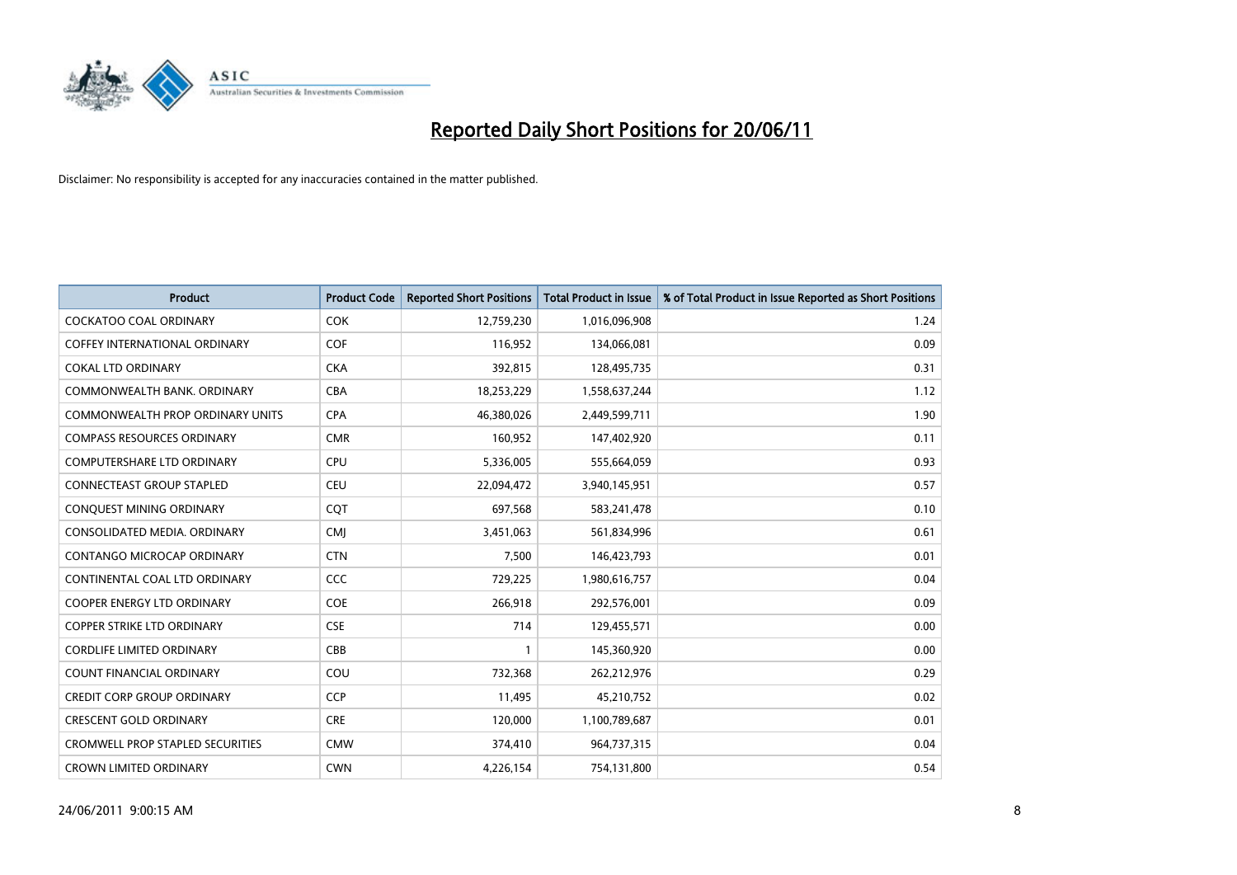

| <b>Product</b>                          | <b>Product Code</b> | <b>Reported Short Positions</b> | <b>Total Product in Issue</b> | % of Total Product in Issue Reported as Short Positions |
|-----------------------------------------|---------------------|---------------------------------|-------------------------------|---------------------------------------------------------|
| <b>COCKATOO COAL ORDINARY</b>           | <b>COK</b>          | 12,759,230                      | 1,016,096,908                 | 1.24                                                    |
| <b>COFFEY INTERNATIONAL ORDINARY</b>    | COF                 | 116,952                         | 134,066,081                   | 0.09                                                    |
| <b>COKAL LTD ORDINARY</b>               | <b>CKA</b>          | 392,815                         | 128,495,735                   | 0.31                                                    |
| COMMONWEALTH BANK, ORDINARY             | <b>CBA</b>          | 18,253,229                      | 1,558,637,244                 | 1.12                                                    |
| <b>COMMONWEALTH PROP ORDINARY UNITS</b> | <b>CPA</b>          | 46,380,026                      | 2,449,599,711                 | 1.90                                                    |
| <b>COMPASS RESOURCES ORDINARY</b>       | <b>CMR</b>          | 160,952                         | 147,402,920                   | 0.11                                                    |
| <b>COMPUTERSHARE LTD ORDINARY</b>       | CPU                 | 5,336,005                       | 555,664,059                   | 0.93                                                    |
| <b>CONNECTEAST GROUP STAPLED</b>        | <b>CEU</b>          | 22,094,472                      | 3,940,145,951                 | 0.57                                                    |
| CONQUEST MINING ORDINARY                | CQT                 | 697,568                         | 583,241,478                   | 0.10                                                    |
| CONSOLIDATED MEDIA, ORDINARY            | <b>CMI</b>          | 3,451,063                       | 561,834,996                   | 0.61                                                    |
| CONTANGO MICROCAP ORDINARY              | <b>CTN</b>          | 7,500                           | 146,423,793                   | 0.01                                                    |
| CONTINENTAL COAL LTD ORDINARY           | CCC                 | 729,225                         | 1,980,616,757                 | 0.04                                                    |
| <b>COOPER ENERGY LTD ORDINARY</b>       | <b>COE</b>          | 266,918                         | 292,576,001                   | 0.09                                                    |
| <b>COPPER STRIKE LTD ORDINARY</b>       | <b>CSE</b>          | 714                             | 129,455,571                   | 0.00                                                    |
| <b>CORDLIFE LIMITED ORDINARY</b>        | CBB                 |                                 | 145,360,920                   | 0.00                                                    |
| <b>COUNT FINANCIAL ORDINARY</b>         | COU                 | 732,368                         | 262,212,976                   | 0.29                                                    |
| <b>CREDIT CORP GROUP ORDINARY</b>       | <b>CCP</b>          | 11,495                          | 45,210,752                    | 0.02                                                    |
| <b>CRESCENT GOLD ORDINARY</b>           | <b>CRE</b>          | 120,000                         | 1,100,789,687                 | 0.01                                                    |
| <b>CROMWELL PROP STAPLED SECURITIES</b> | <b>CMW</b>          | 374,410                         | 964,737,315                   | 0.04                                                    |
| <b>CROWN LIMITED ORDINARY</b>           | <b>CWN</b>          | 4,226,154                       | 754,131,800                   | 0.54                                                    |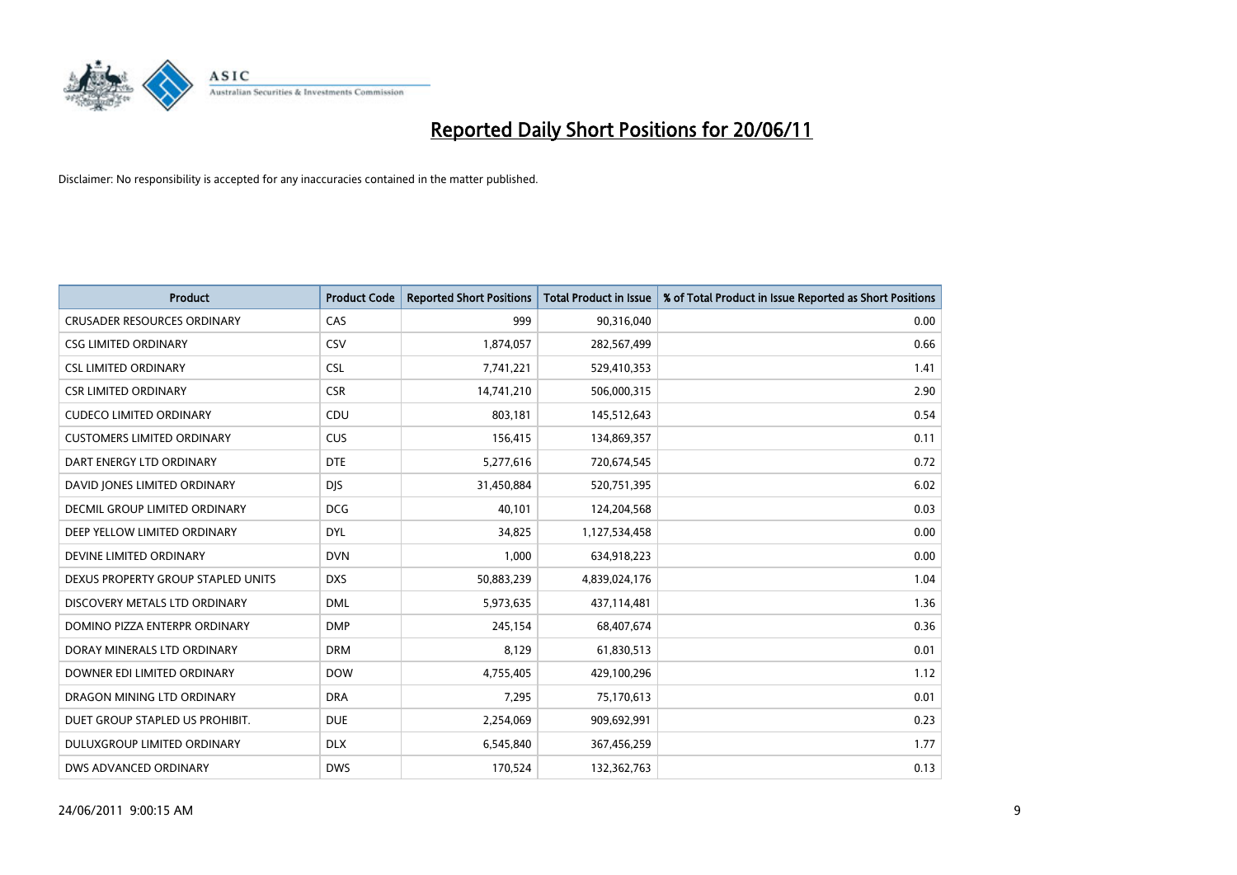

| <b>Product</b>                     | <b>Product Code</b> | <b>Reported Short Positions</b> | <b>Total Product in Issue</b> | % of Total Product in Issue Reported as Short Positions |
|------------------------------------|---------------------|---------------------------------|-------------------------------|---------------------------------------------------------|
| <b>CRUSADER RESOURCES ORDINARY</b> | CAS                 | 999                             | 90,316,040                    | 0.00                                                    |
| <b>CSG LIMITED ORDINARY</b>        | CSV                 | 1,874,057                       | 282,567,499                   | 0.66                                                    |
| <b>CSL LIMITED ORDINARY</b>        | <b>CSL</b>          | 7,741,221                       | 529,410,353                   | 1.41                                                    |
| <b>CSR LIMITED ORDINARY</b>        | <b>CSR</b>          | 14,741,210                      | 506,000,315                   | 2.90                                                    |
| <b>CUDECO LIMITED ORDINARY</b>     | CDU                 | 803,181                         | 145,512,643                   | 0.54                                                    |
| <b>CUSTOMERS LIMITED ORDINARY</b>  | CUS                 | 156,415                         | 134,869,357                   | 0.11                                                    |
| DART ENERGY LTD ORDINARY           | <b>DTE</b>          | 5,277,616                       | 720,674,545                   | 0.72                                                    |
| DAVID JONES LIMITED ORDINARY       | <b>DIS</b>          | 31,450,884                      | 520,751,395                   | 6.02                                                    |
| DECMIL GROUP LIMITED ORDINARY      | <b>DCG</b>          | 40,101                          | 124,204,568                   | 0.03                                                    |
| DEEP YELLOW LIMITED ORDINARY       | <b>DYL</b>          | 34,825                          | 1,127,534,458                 | 0.00                                                    |
| DEVINE LIMITED ORDINARY            | <b>DVN</b>          | 1,000                           | 634,918,223                   | 0.00                                                    |
| DEXUS PROPERTY GROUP STAPLED UNITS | <b>DXS</b>          | 50,883,239                      | 4,839,024,176                 | 1.04                                                    |
| DISCOVERY METALS LTD ORDINARY      | <b>DML</b>          | 5,973,635                       | 437,114,481                   | 1.36                                                    |
| DOMINO PIZZA ENTERPR ORDINARY      | <b>DMP</b>          | 245,154                         | 68,407,674                    | 0.36                                                    |
| DORAY MINERALS LTD ORDINARY        | <b>DRM</b>          | 8,129                           | 61,830,513                    | 0.01                                                    |
| DOWNER EDI LIMITED ORDINARY        | <b>DOW</b>          | 4,755,405                       | 429,100,296                   | 1.12                                                    |
| DRAGON MINING LTD ORDINARY         | <b>DRA</b>          | 7,295                           | 75,170,613                    | 0.01                                                    |
| DUET GROUP STAPLED US PROHIBIT.    | <b>DUE</b>          | 2,254,069                       | 909,692,991                   | 0.23                                                    |
| DULUXGROUP LIMITED ORDINARY        | <b>DLX</b>          | 6,545,840                       | 367,456,259                   | 1.77                                                    |
| DWS ADVANCED ORDINARY              | <b>DWS</b>          | 170,524                         | 132,362,763                   | 0.13                                                    |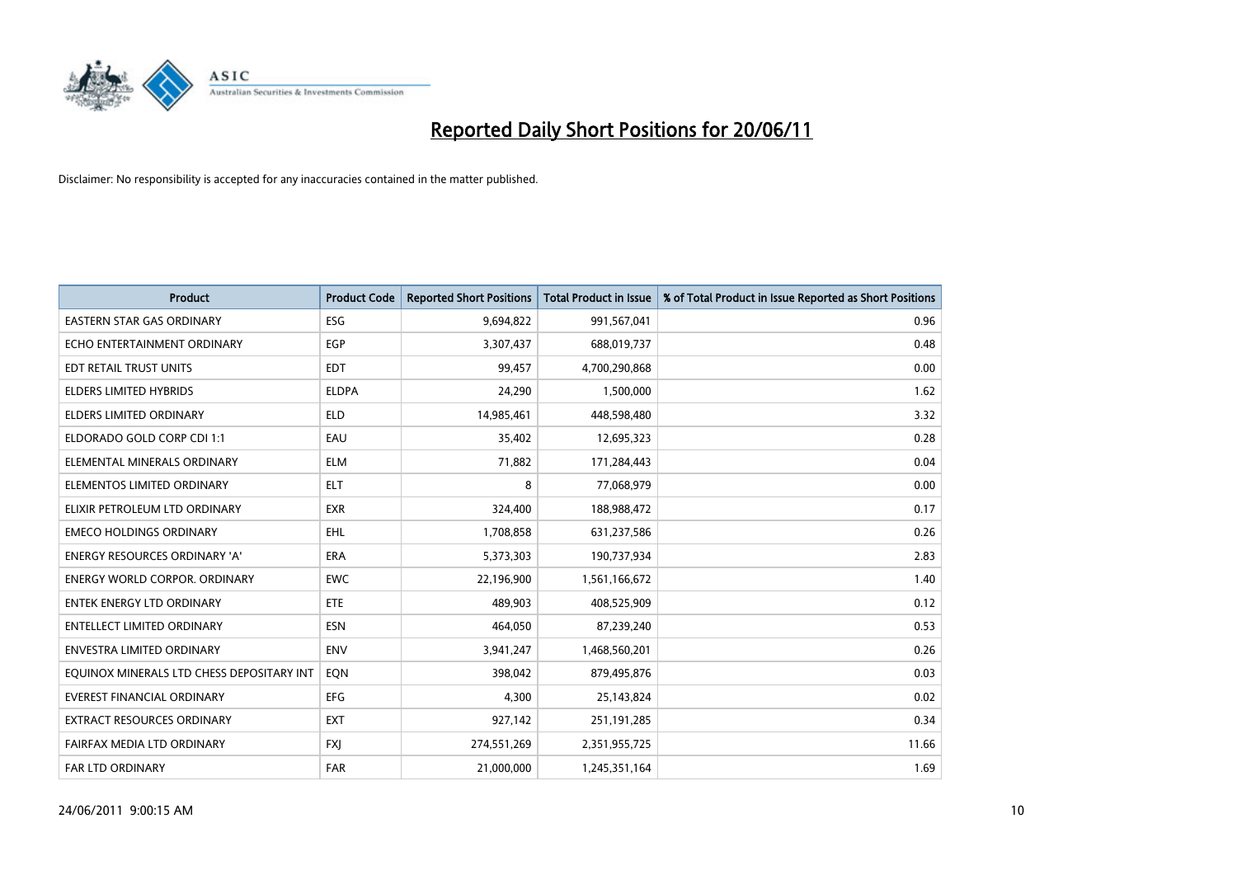

| <b>Product</b>                            | <b>Product Code</b> | <b>Reported Short Positions</b> | <b>Total Product in Issue</b> | % of Total Product in Issue Reported as Short Positions |
|-------------------------------------------|---------------------|---------------------------------|-------------------------------|---------------------------------------------------------|
| <b>EASTERN STAR GAS ORDINARY</b>          | <b>ESG</b>          | 9,694,822                       | 991,567,041                   | 0.96                                                    |
| ECHO ENTERTAINMENT ORDINARY               | <b>EGP</b>          | 3,307,437                       | 688,019,737                   | 0.48                                                    |
| EDT RETAIL TRUST UNITS                    | <b>EDT</b>          | 99,457                          | 4,700,290,868                 | 0.00                                                    |
| ELDERS LIMITED HYBRIDS                    | <b>ELDPA</b>        | 24,290                          | 1,500,000                     | 1.62                                                    |
| <b>ELDERS LIMITED ORDINARY</b>            | <b>ELD</b>          | 14,985,461                      | 448,598,480                   | 3.32                                                    |
| ELDORADO GOLD CORP CDI 1:1                | EAU                 | 35,402                          | 12,695,323                    | 0.28                                                    |
| ELEMENTAL MINERALS ORDINARY               | <b>ELM</b>          | 71,882                          | 171,284,443                   | 0.04                                                    |
| ELEMENTOS LIMITED ORDINARY                | <b>ELT</b>          | 8                               | 77,068,979                    | 0.00                                                    |
| ELIXIR PETROLEUM LTD ORDINARY             | <b>EXR</b>          | 324,400                         | 188,988,472                   | 0.17                                                    |
| <b>EMECO HOLDINGS ORDINARY</b>            | <b>EHL</b>          | 1,708,858                       | 631,237,586                   | 0.26                                                    |
| ENERGY RESOURCES ORDINARY 'A'             | <b>ERA</b>          | 5,373,303                       | 190,737,934                   | 2.83                                                    |
| <b>ENERGY WORLD CORPOR. ORDINARY</b>      | <b>EWC</b>          | 22,196,900                      | 1,561,166,672                 | 1.40                                                    |
| <b>ENTEK ENERGY LTD ORDINARY</b>          | <b>ETE</b>          | 489,903                         | 408,525,909                   | 0.12                                                    |
| <b>ENTELLECT LIMITED ORDINARY</b>         | <b>ESN</b>          | 464,050                         | 87,239,240                    | 0.53                                                    |
| <b>ENVESTRA LIMITED ORDINARY</b>          | <b>ENV</b>          | 3,941,247                       | 1,468,560,201                 | 0.26                                                    |
| EQUINOX MINERALS LTD CHESS DEPOSITARY INT | EON                 | 398,042                         | 879,495,876                   | 0.03                                                    |
| EVEREST FINANCIAL ORDINARY                | EFG                 | 4,300                           | 25,143,824                    | 0.02                                                    |
| EXTRACT RESOURCES ORDINARY                | <b>EXT</b>          | 927,142                         | 251,191,285                   | 0.34                                                    |
| FAIRFAX MEDIA LTD ORDINARY                | <b>FXI</b>          | 274,551,269                     | 2,351,955,725                 | 11.66                                                   |
| FAR LTD ORDINARY                          | <b>FAR</b>          | 21,000,000                      | 1,245,351,164                 | 1.69                                                    |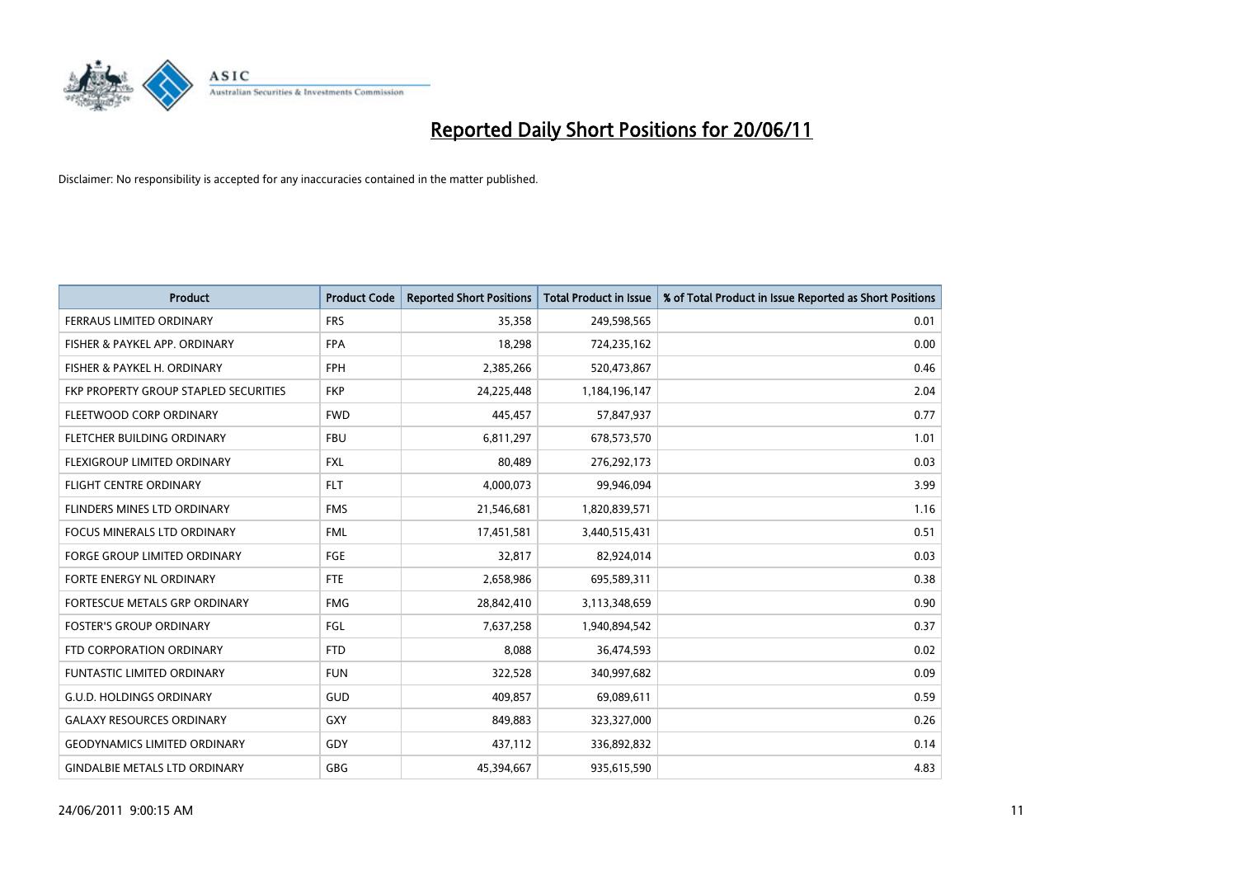

| <b>Product</b>                        | <b>Product Code</b> | <b>Reported Short Positions</b> | Total Product in Issue | % of Total Product in Issue Reported as Short Positions |
|---------------------------------------|---------------------|---------------------------------|------------------------|---------------------------------------------------------|
| <b>FERRAUS LIMITED ORDINARY</b>       | <b>FRS</b>          | 35,358                          | 249,598,565            | 0.01                                                    |
| FISHER & PAYKEL APP. ORDINARY         | <b>FPA</b>          | 18,298                          | 724,235,162            | 0.00                                                    |
| FISHER & PAYKEL H. ORDINARY           | <b>FPH</b>          | 2,385,266                       | 520,473,867            | 0.46                                                    |
| FKP PROPERTY GROUP STAPLED SECURITIES | <b>FKP</b>          | 24,225,448                      | 1,184,196,147          | 2.04                                                    |
| FLEETWOOD CORP ORDINARY               | <b>FWD</b>          | 445,457                         | 57,847,937             | 0.77                                                    |
| FLETCHER BUILDING ORDINARY            | <b>FBU</b>          | 6,811,297                       | 678,573,570            | 1.01                                                    |
| <b>FLEXIGROUP LIMITED ORDINARY</b>    | <b>FXL</b>          | 80,489                          | 276,292,173            | 0.03                                                    |
| FLIGHT CENTRE ORDINARY                | <b>FLT</b>          | 4,000,073                       | 99,946,094             | 3.99                                                    |
| FLINDERS MINES LTD ORDINARY           | <b>FMS</b>          | 21,546,681                      | 1,820,839,571          | 1.16                                                    |
| <b>FOCUS MINERALS LTD ORDINARY</b>    | <b>FML</b>          | 17,451,581                      | 3,440,515,431          | 0.51                                                    |
| FORGE GROUP LIMITED ORDINARY          | <b>FGE</b>          | 32,817                          | 82,924,014             | 0.03                                                    |
| FORTE ENERGY NL ORDINARY              | <b>FTE</b>          | 2,658,986                       | 695,589,311            | 0.38                                                    |
| FORTESCUE METALS GRP ORDINARY         | <b>FMG</b>          | 28,842,410                      | 3,113,348,659          | 0.90                                                    |
| <b>FOSTER'S GROUP ORDINARY</b>        | FGL                 | 7,637,258                       | 1,940,894,542          | 0.37                                                    |
| FTD CORPORATION ORDINARY              | <b>FTD</b>          | 8,088                           | 36,474,593             | 0.02                                                    |
| <b>FUNTASTIC LIMITED ORDINARY</b>     | <b>FUN</b>          | 322,528                         | 340,997,682            | 0.09                                                    |
| <b>G.U.D. HOLDINGS ORDINARY</b>       | GUD                 | 409,857                         | 69,089,611             | 0.59                                                    |
| <b>GALAXY RESOURCES ORDINARY</b>      | <b>GXY</b>          | 849,883                         | 323,327,000            | 0.26                                                    |
| <b>GEODYNAMICS LIMITED ORDINARY</b>   | GDY                 | 437,112                         | 336,892,832            | 0.14                                                    |
| <b>GINDALBIE METALS LTD ORDINARY</b>  | <b>GBG</b>          | 45,394,667                      | 935,615,590            | 4.83                                                    |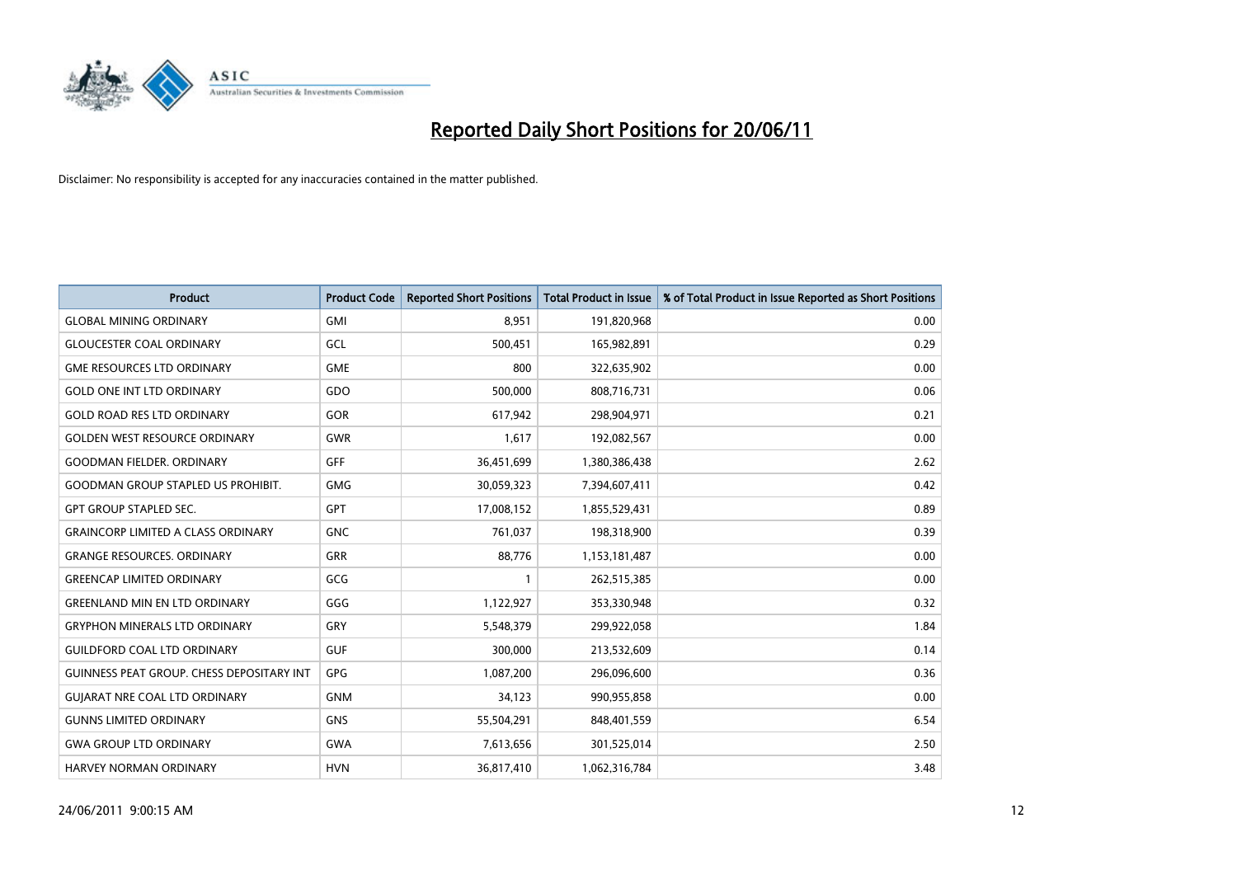

| <b>Product</b>                                   | <b>Product Code</b> | <b>Reported Short Positions</b> | <b>Total Product in Issue</b> | % of Total Product in Issue Reported as Short Positions |
|--------------------------------------------------|---------------------|---------------------------------|-------------------------------|---------------------------------------------------------|
| <b>GLOBAL MINING ORDINARY</b>                    | <b>GMI</b>          | 8.951                           | 191,820,968                   | 0.00                                                    |
| <b>GLOUCESTER COAL ORDINARY</b>                  | GCL                 | 500,451                         | 165,982,891                   | 0.29                                                    |
| <b>GME RESOURCES LTD ORDINARY</b>                | <b>GME</b>          | 800                             | 322,635,902                   | 0.00                                                    |
| <b>GOLD ONE INT LTD ORDINARY</b>                 | GDO                 | 500,000                         | 808,716,731                   | 0.06                                                    |
| <b>GOLD ROAD RES LTD ORDINARY</b>                | GOR                 | 617,942                         | 298,904,971                   | 0.21                                                    |
| <b>GOLDEN WEST RESOURCE ORDINARY</b>             | <b>GWR</b>          | 1,617                           | 192,082,567                   | 0.00                                                    |
| <b>GOODMAN FIELDER, ORDINARY</b>                 | <b>GFF</b>          | 36,451,699                      | 1,380,386,438                 | 2.62                                                    |
| <b>GOODMAN GROUP STAPLED US PROHIBIT.</b>        | <b>GMG</b>          | 30,059,323                      | 7,394,607,411                 | 0.42                                                    |
| <b>GPT GROUP STAPLED SEC.</b>                    | GPT                 | 17,008,152                      | 1,855,529,431                 | 0.89                                                    |
| <b>GRAINCORP LIMITED A CLASS ORDINARY</b>        | <b>GNC</b>          | 761,037                         | 198,318,900                   | 0.39                                                    |
| <b>GRANGE RESOURCES. ORDINARY</b>                | <b>GRR</b>          | 88,776                          | 1,153,181,487                 | 0.00                                                    |
| <b>GREENCAP LIMITED ORDINARY</b>                 | GCG                 |                                 | 262,515,385                   | 0.00                                                    |
| <b>GREENLAND MIN EN LTD ORDINARY</b>             | GGG                 | 1,122,927                       | 353,330,948                   | 0.32                                                    |
| <b>GRYPHON MINERALS LTD ORDINARY</b>             | GRY                 | 5,548,379                       | 299,922,058                   | 1.84                                                    |
| <b>GUILDFORD COAL LTD ORDINARY</b>               | <b>GUF</b>          | 300,000                         | 213,532,609                   | 0.14                                                    |
| <b>GUINNESS PEAT GROUP. CHESS DEPOSITARY INT</b> | <b>GPG</b>          | 1,087,200                       | 296,096,600                   | 0.36                                                    |
| <b>GUIARAT NRE COAL LTD ORDINARY</b>             | <b>GNM</b>          | 34,123                          | 990,955,858                   | 0.00                                                    |
| <b>GUNNS LIMITED ORDINARY</b>                    | <b>GNS</b>          | 55,504,291                      | 848,401,559                   | 6.54                                                    |
| <b>GWA GROUP LTD ORDINARY</b>                    | <b>GWA</b>          | 7,613,656                       | 301,525,014                   | 2.50                                                    |
| HARVEY NORMAN ORDINARY                           | <b>HVN</b>          | 36,817,410                      | 1,062,316,784                 | 3.48                                                    |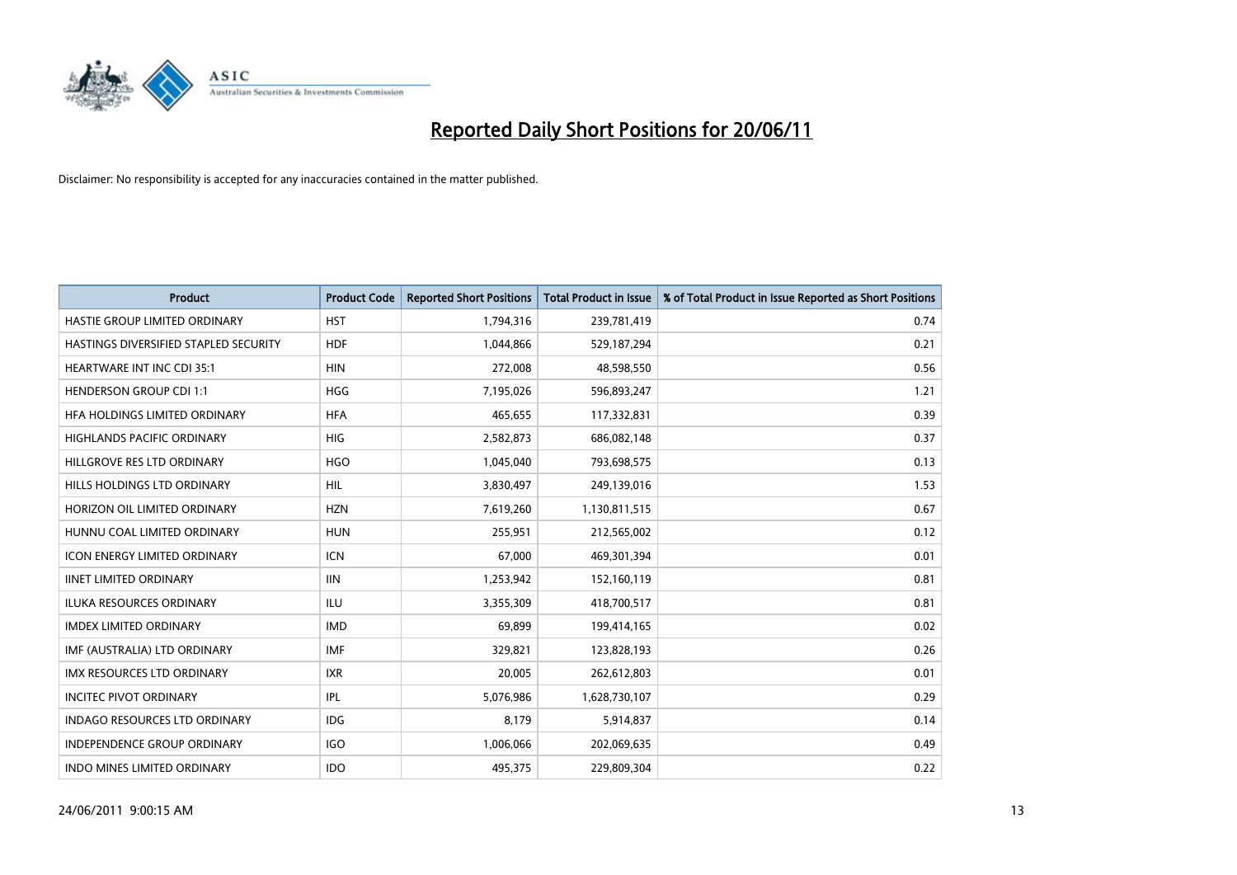

| <b>Product</b>                        | <b>Product Code</b> | <b>Reported Short Positions</b> | Total Product in Issue | % of Total Product in Issue Reported as Short Positions |
|---------------------------------------|---------------------|---------------------------------|------------------------|---------------------------------------------------------|
| HASTIE GROUP LIMITED ORDINARY         | <b>HST</b>          | 1,794,316                       | 239,781,419            | 0.74                                                    |
| HASTINGS DIVERSIFIED STAPLED SECURITY | <b>HDF</b>          | 1,044,866                       | 529,187,294            | 0.21                                                    |
| <b>HEARTWARE INT INC CDI 35:1</b>     | <b>HIN</b>          | 272,008                         | 48,598,550             | 0.56                                                    |
| <b>HENDERSON GROUP CDI 1:1</b>        | <b>HGG</b>          | 7,195,026                       | 596,893,247            | 1.21                                                    |
| HFA HOLDINGS LIMITED ORDINARY         | <b>HFA</b>          | 465.655                         | 117,332,831            | 0.39                                                    |
| <b>HIGHLANDS PACIFIC ORDINARY</b>     | <b>HIG</b>          | 2,582,873                       | 686,082,148            | 0.37                                                    |
| HILLGROVE RES LTD ORDINARY            | <b>HGO</b>          | 1,045,040                       | 793,698,575            | 0.13                                                    |
| HILLS HOLDINGS LTD ORDINARY           | <b>HIL</b>          | 3,830,497                       | 249,139,016            | 1.53                                                    |
| HORIZON OIL LIMITED ORDINARY          | <b>HZN</b>          | 7,619,260                       | 1,130,811,515          | 0.67                                                    |
| HUNNU COAL LIMITED ORDINARY           | <b>HUN</b>          | 255,951                         | 212,565,002            | 0.12                                                    |
| <b>ICON ENERGY LIMITED ORDINARY</b>   | <b>ICN</b>          | 67,000                          | 469,301,394            | 0.01                                                    |
| <b>IINET LIMITED ORDINARY</b>         | <b>IIN</b>          | 1,253,942                       | 152,160,119            | 0.81                                                    |
| <b>ILUKA RESOURCES ORDINARY</b>       | <b>ILU</b>          | 3.355.309                       | 418,700,517            | 0.81                                                    |
| <b>IMDEX LIMITED ORDINARY</b>         | <b>IMD</b>          | 69.899                          | 199,414,165            | 0.02                                                    |
| IMF (AUSTRALIA) LTD ORDINARY          | <b>IMF</b>          | 329,821                         | 123,828,193            | 0.26                                                    |
| <b>IMX RESOURCES LTD ORDINARY</b>     | <b>IXR</b>          | 20,005                          | 262,612,803            | 0.01                                                    |
| <b>INCITEC PIVOT ORDINARY</b>         | <b>IPL</b>          | 5,076,986                       | 1,628,730,107          | 0.29                                                    |
| INDAGO RESOURCES LTD ORDINARY         | <b>IDG</b>          | 8,179                           | 5,914,837              | 0.14                                                    |
| <b>INDEPENDENCE GROUP ORDINARY</b>    | <b>IGO</b>          | 1,006,066                       | 202,069,635            | 0.49                                                    |
| <b>INDO MINES LIMITED ORDINARY</b>    | <b>IDO</b>          | 495.375                         | 229,809,304            | 0.22                                                    |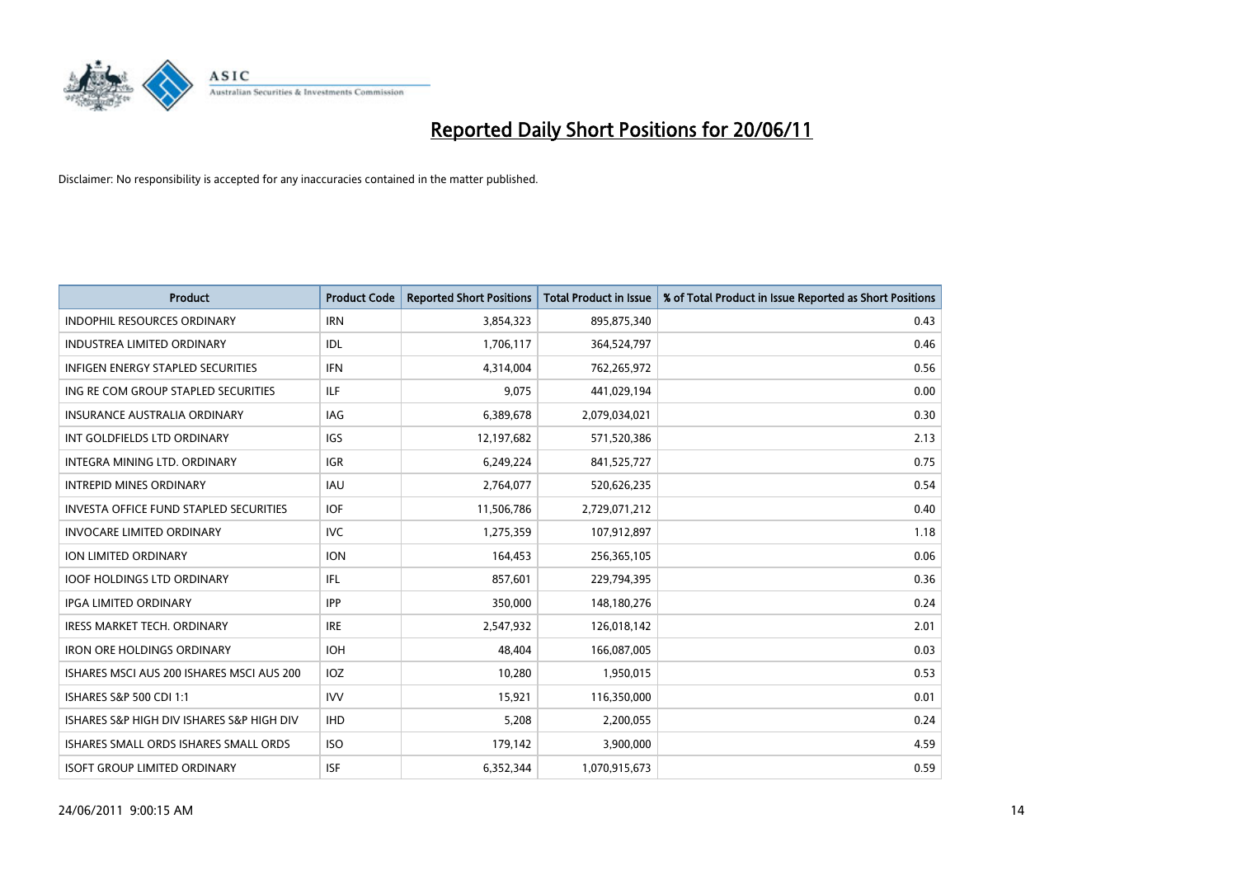

| <b>Product</b>                                | <b>Product Code</b> | <b>Reported Short Positions</b> | <b>Total Product in Issue</b> | % of Total Product in Issue Reported as Short Positions |
|-----------------------------------------------|---------------------|---------------------------------|-------------------------------|---------------------------------------------------------|
| <b>INDOPHIL RESOURCES ORDINARY</b>            | <b>IRN</b>          | 3,854,323                       | 895,875,340                   | 0.43                                                    |
| INDUSTREA LIMITED ORDINARY                    | IDL                 | 1,706,117                       | 364,524,797                   | 0.46                                                    |
| <b>INFIGEN ENERGY STAPLED SECURITIES</b>      | <b>IFN</b>          | 4,314,004                       | 762,265,972                   | 0.56                                                    |
| ING RE COM GROUP STAPLED SECURITIES           | <b>ILF</b>          | 9,075                           | 441,029,194                   | 0.00                                                    |
| <b>INSURANCE AUSTRALIA ORDINARY</b>           | IAG                 | 6,389,678                       | 2,079,034,021                 | 0.30                                                    |
| INT GOLDFIELDS LTD ORDINARY                   | IGS                 | 12,197,682                      | 571,520,386                   | 2.13                                                    |
| INTEGRA MINING LTD, ORDINARY                  | <b>IGR</b>          | 6,249,224                       | 841,525,727                   | 0.75                                                    |
| <b>INTREPID MINES ORDINARY</b>                | <b>IAU</b>          | 2,764,077                       | 520,626,235                   | 0.54                                                    |
| <b>INVESTA OFFICE FUND STAPLED SECURITIES</b> | <b>IOF</b>          | 11,506,786                      | 2,729,071,212                 | 0.40                                                    |
| <b>INVOCARE LIMITED ORDINARY</b>              | <b>IVC</b>          | 1,275,359                       | 107,912,897                   | 1.18                                                    |
| <b>ION LIMITED ORDINARY</b>                   | <b>ION</b>          | 164,453                         | 256,365,105                   | 0.06                                                    |
| <b>IOOF HOLDINGS LTD ORDINARY</b>             | IFL.                | 857,601                         | 229,794,395                   | 0.36                                                    |
| <b>IPGA LIMITED ORDINARY</b>                  | <b>IPP</b>          | 350,000                         | 148,180,276                   | 0.24                                                    |
| <b>IRESS MARKET TECH. ORDINARY</b>            | <b>IRE</b>          | 2,547,932                       | 126,018,142                   | 2.01                                                    |
| <b>IRON ORE HOLDINGS ORDINARY</b>             | <b>IOH</b>          | 48,404                          | 166,087,005                   | 0.03                                                    |
| ISHARES MSCI AUS 200 ISHARES MSCI AUS 200     | IOZ                 | 10,280                          | 1,950,015                     | 0.53                                                    |
| ISHARES S&P 500 CDI 1:1                       | <b>IVV</b>          | 15,921                          | 116,350,000                   | 0.01                                                    |
| ISHARES S&P HIGH DIV ISHARES S&P HIGH DIV     | <b>IHD</b>          | 5,208                           | 2,200,055                     | 0.24                                                    |
| ISHARES SMALL ORDS ISHARES SMALL ORDS         | <b>ISO</b>          | 179,142                         | 3,900,000                     | 4.59                                                    |
| <b>ISOFT GROUP LIMITED ORDINARY</b>           | <b>ISF</b>          | 6,352,344                       | 1,070,915,673                 | 0.59                                                    |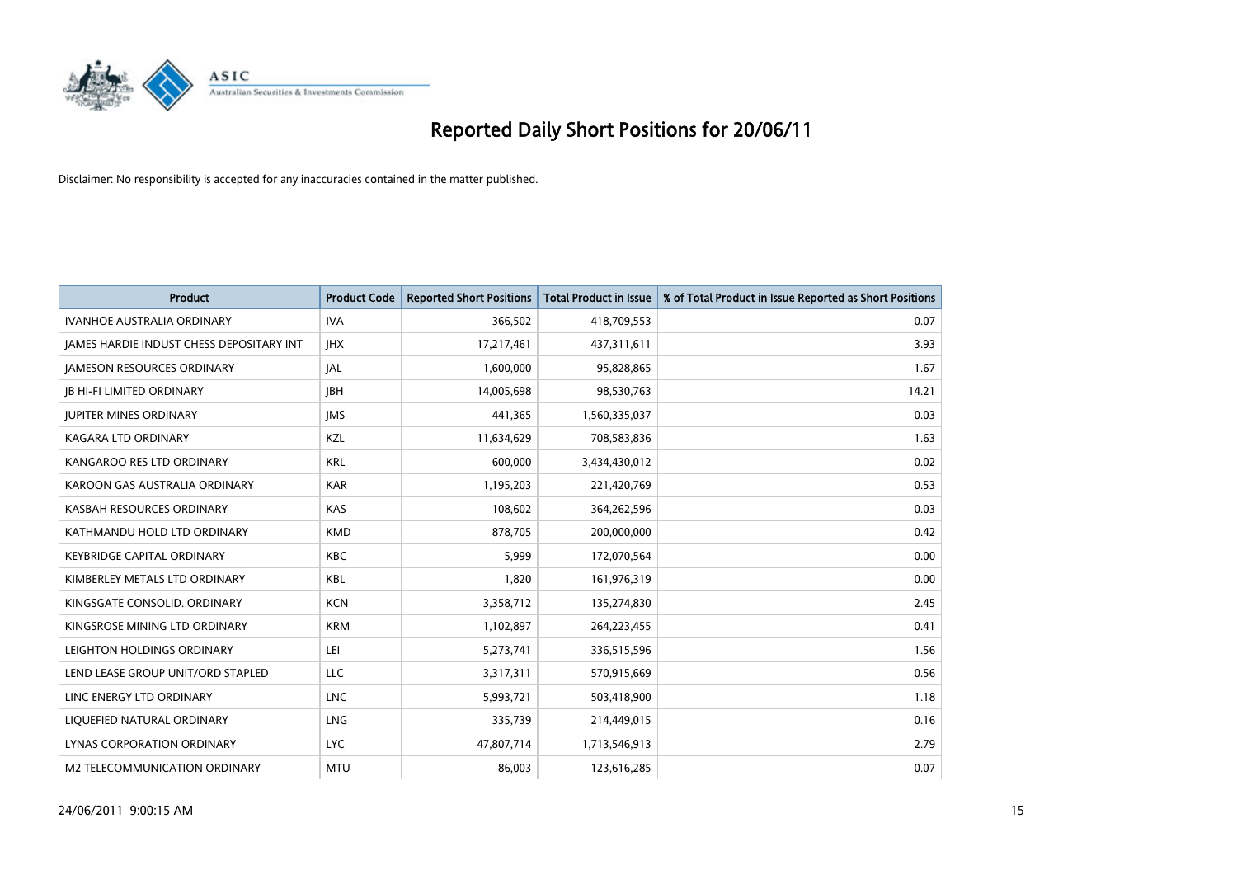

| <b>Product</b>                                  | <b>Product Code</b> | <b>Reported Short Positions</b> | <b>Total Product in Issue</b> | % of Total Product in Issue Reported as Short Positions |
|-------------------------------------------------|---------------------|---------------------------------|-------------------------------|---------------------------------------------------------|
| <b>IVANHOE AUSTRALIA ORDINARY</b>               | <b>IVA</b>          | 366,502                         | 418,709,553                   | 0.07                                                    |
| <b>JAMES HARDIE INDUST CHESS DEPOSITARY INT</b> | <b>IHX</b>          | 17,217,461                      | 437,311,611                   | 3.93                                                    |
| <b>JAMESON RESOURCES ORDINARY</b>               | JAL                 | 1,600,000                       | 95,828,865                    | 1.67                                                    |
| <b>JB HI-FI LIMITED ORDINARY</b>                | <b>IBH</b>          | 14,005,698                      | 98,530,763                    | 14.21                                                   |
| <b>IUPITER MINES ORDINARY</b>                   | <b>IMS</b>          | 441,365                         | 1,560,335,037                 | 0.03                                                    |
| KAGARA LTD ORDINARY                             | KZL                 | 11,634,629                      | 708,583,836                   | 1.63                                                    |
| KANGAROO RES LTD ORDINARY                       | <b>KRL</b>          | 600,000                         | 3,434,430,012                 | 0.02                                                    |
| KAROON GAS AUSTRALIA ORDINARY                   | <b>KAR</b>          | 1,195,203                       | 221,420,769                   | 0.53                                                    |
| KASBAH RESOURCES ORDINARY                       | <b>KAS</b>          | 108,602                         | 364,262,596                   | 0.03                                                    |
| KATHMANDU HOLD LTD ORDINARY                     | <b>KMD</b>          | 878,705                         | 200,000,000                   | 0.42                                                    |
| <b>KEYBRIDGE CAPITAL ORDINARY</b>               | <b>KBC</b>          | 5,999                           | 172,070,564                   | 0.00                                                    |
| KIMBERLEY METALS LTD ORDINARY                   | <b>KBL</b>          | 1,820                           | 161,976,319                   | 0.00                                                    |
| KINGSGATE CONSOLID. ORDINARY                    | <b>KCN</b>          | 3,358,712                       | 135,274,830                   | 2.45                                                    |
| KINGSROSE MINING LTD ORDINARY                   | <b>KRM</b>          | 1,102,897                       | 264,223,455                   | 0.41                                                    |
| LEIGHTON HOLDINGS ORDINARY                      | LEI                 | 5,273,741                       | 336,515,596                   | 1.56                                                    |
| LEND LEASE GROUP UNIT/ORD STAPLED               | LLC                 | 3,317,311                       | 570,915,669                   | 0.56                                                    |
| LINC ENERGY LTD ORDINARY                        | <b>LNC</b>          | 5,993,721                       | 503,418,900                   | 1.18                                                    |
| LIQUEFIED NATURAL ORDINARY                      | LNG                 | 335,739                         | 214,449,015                   | 0.16                                                    |
| LYNAS CORPORATION ORDINARY                      | <b>LYC</b>          | 47,807,714                      | 1,713,546,913                 | 2.79                                                    |
| M2 TELECOMMUNICATION ORDINARY                   | <b>MTU</b>          | 86.003                          | 123,616,285                   | 0.07                                                    |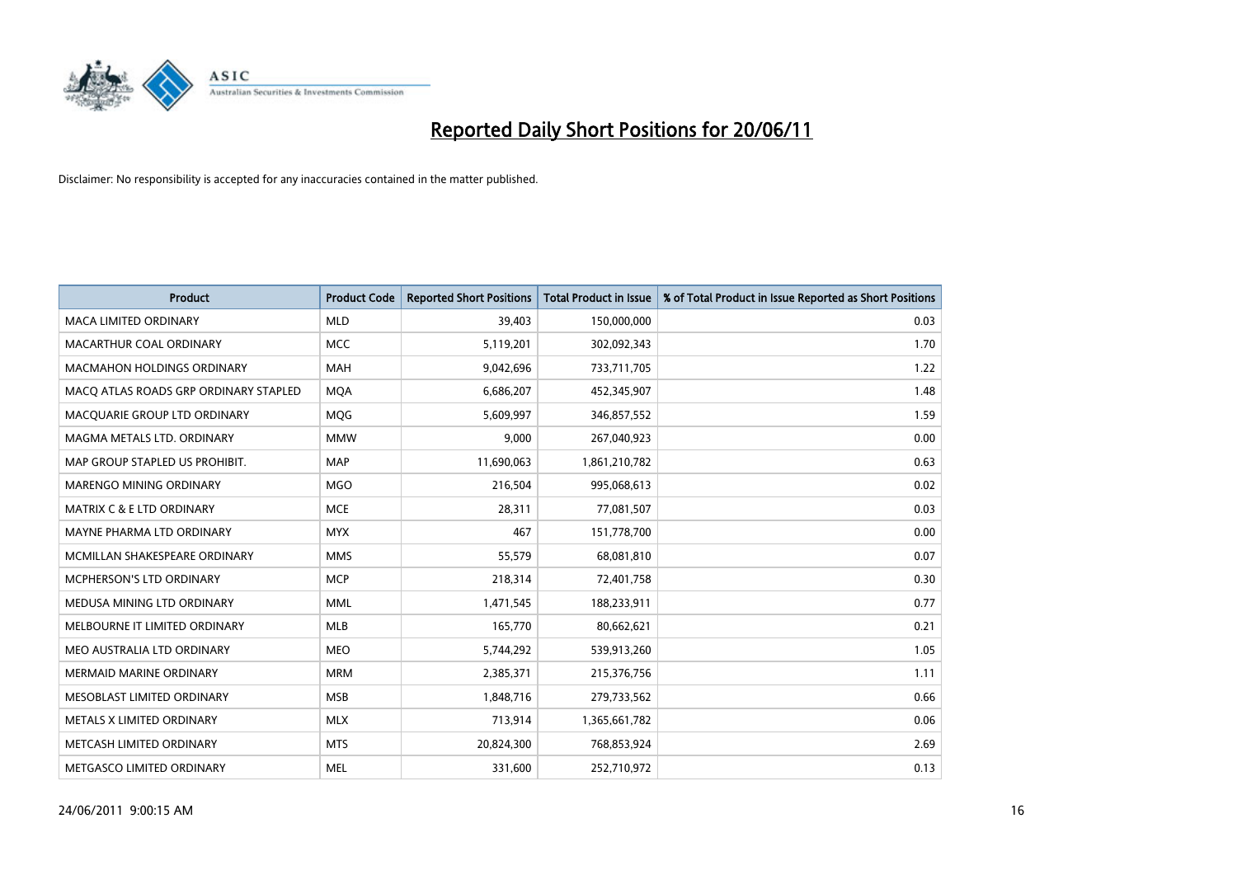

| <b>Product</b>                        | <b>Product Code</b> | <b>Reported Short Positions</b> | <b>Total Product in Issue</b> | % of Total Product in Issue Reported as Short Positions |
|---------------------------------------|---------------------|---------------------------------|-------------------------------|---------------------------------------------------------|
| <b>MACA LIMITED ORDINARY</b>          | <b>MLD</b>          | 39,403                          | 150,000,000                   | 0.03                                                    |
| MACARTHUR COAL ORDINARY               | <b>MCC</b>          | 5,119,201                       | 302,092,343                   | 1.70                                                    |
| <b>MACMAHON HOLDINGS ORDINARY</b>     | <b>MAH</b>          | 9,042,696                       | 733,711,705                   | 1.22                                                    |
| MACQ ATLAS ROADS GRP ORDINARY STAPLED | <b>MOA</b>          | 6,686,207                       | 452,345,907                   | 1.48                                                    |
| MACQUARIE GROUP LTD ORDINARY          | MQG                 | 5,609,997                       | 346,857,552                   | 1.59                                                    |
| MAGMA METALS LTD. ORDINARY            | <b>MMW</b>          | 9,000                           | 267,040,923                   | 0.00                                                    |
| MAP GROUP STAPLED US PROHIBIT.        | <b>MAP</b>          | 11,690,063                      | 1,861,210,782                 | 0.63                                                    |
| MARENGO MINING ORDINARY               | <b>MGO</b>          | 216,504                         | 995,068,613                   | 0.02                                                    |
| <b>MATRIX C &amp; E LTD ORDINARY</b>  | <b>MCE</b>          | 28,311                          | 77,081,507                    | 0.03                                                    |
| MAYNE PHARMA LTD ORDINARY             | <b>MYX</b>          | 467                             | 151,778,700                   | 0.00                                                    |
| MCMILLAN SHAKESPEARE ORDINARY         | <b>MMS</b>          | 55,579                          | 68,081,810                    | 0.07                                                    |
| <b>MCPHERSON'S LTD ORDINARY</b>       | <b>MCP</b>          | 218,314                         | 72,401,758                    | 0.30                                                    |
| MEDUSA MINING LTD ORDINARY            | <b>MML</b>          | 1,471,545                       | 188,233,911                   | 0.77                                                    |
| MELBOURNE IT LIMITED ORDINARY         | <b>MLB</b>          | 165,770                         | 80,662,621                    | 0.21                                                    |
| MEO AUSTRALIA LTD ORDINARY            | <b>MEO</b>          | 5,744,292                       | 539,913,260                   | 1.05                                                    |
| <b>MERMAID MARINE ORDINARY</b>        | <b>MRM</b>          | 2,385,371                       | 215,376,756                   | 1.11                                                    |
| MESOBLAST LIMITED ORDINARY            | <b>MSB</b>          | 1,848,716                       | 279,733,562                   | 0.66                                                    |
| METALS X LIMITED ORDINARY             | <b>MLX</b>          | 713,914                         | 1,365,661,782                 | 0.06                                                    |
| METCASH LIMITED ORDINARY              | <b>MTS</b>          | 20,824,300                      | 768,853,924                   | 2.69                                                    |
| METGASCO LIMITED ORDINARY             | <b>MEL</b>          | 331,600                         | 252,710,972                   | 0.13                                                    |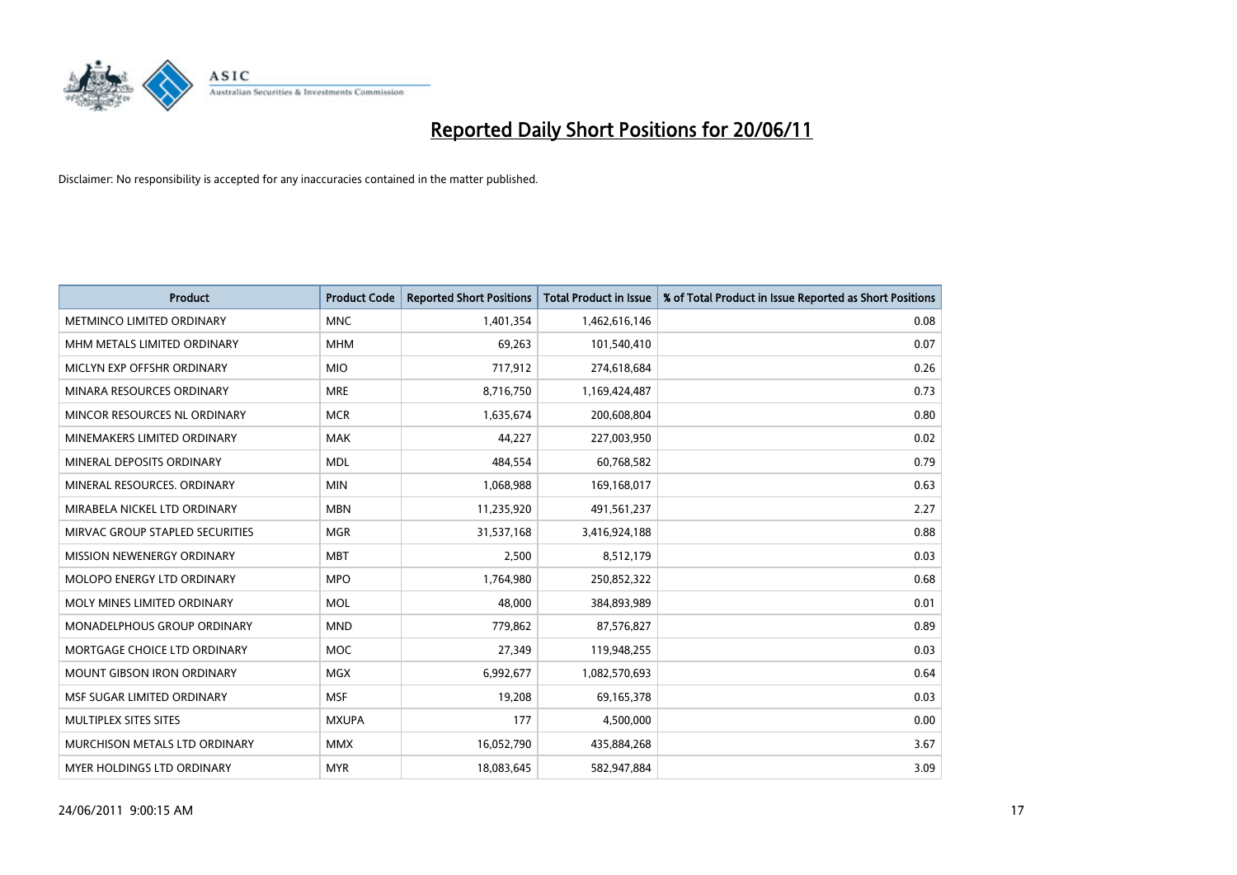

| <b>Product</b>                    | <b>Product Code</b> | <b>Reported Short Positions</b> | <b>Total Product in Issue</b> | % of Total Product in Issue Reported as Short Positions |
|-----------------------------------|---------------------|---------------------------------|-------------------------------|---------------------------------------------------------|
| METMINCO LIMITED ORDINARY         | <b>MNC</b>          | 1,401,354                       | 1,462,616,146                 | 0.08                                                    |
| MHM METALS LIMITED ORDINARY       | <b>MHM</b>          | 69,263                          | 101,540,410                   | 0.07                                                    |
| MICLYN EXP OFFSHR ORDINARY        | <b>MIO</b>          | 717,912                         | 274,618,684                   | 0.26                                                    |
| MINARA RESOURCES ORDINARY         | <b>MRE</b>          | 8,716,750                       | 1,169,424,487                 | 0.73                                                    |
| MINCOR RESOURCES NL ORDINARY      | <b>MCR</b>          | 1,635,674                       | 200,608,804                   | 0.80                                                    |
| MINEMAKERS LIMITED ORDINARY       | <b>MAK</b>          | 44,227                          | 227,003,950                   | 0.02                                                    |
| MINERAL DEPOSITS ORDINARY         | <b>MDL</b>          | 484,554                         | 60,768,582                    | 0.79                                                    |
| MINERAL RESOURCES, ORDINARY       | <b>MIN</b>          | 1,068,988                       | 169,168,017                   | 0.63                                                    |
| MIRABELA NICKEL LTD ORDINARY      | <b>MBN</b>          | 11,235,920                      | 491,561,237                   | 2.27                                                    |
| MIRVAC GROUP STAPLED SECURITIES   | <b>MGR</b>          | 31,537,168                      | 3,416,924,188                 | 0.88                                                    |
| MISSION NEWENERGY ORDINARY        | <b>MBT</b>          | 2,500                           | 8,512,179                     | 0.03                                                    |
| MOLOPO ENERGY LTD ORDINARY        | <b>MPO</b>          | 1,764,980                       | 250,852,322                   | 0.68                                                    |
| MOLY MINES LIMITED ORDINARY       | <b>MOL</b>          | 48,000                          | 384,893,989                   | 0.01                                                    |
| MONADELPHOUS GROUP ORDINARY       | <b>MND</b>          | 779,862                         | 87,576,827                    | 0.89                                                    |
| MORTGAGE CHOICE LTD ORDINARY      | <b>MOC</b>          | 27,349                          | 119,948,255                   | 0.03                                                    |
| <b>MOUNT GIBSON IRON ORDINARY</b> | <b>MGX</b>          | 6,992,677                       | 1,082,570,693                 | 0.64                                                    |
| MSF SUGAR LIMITED ORDINARY        | <b>MSF</b>          | 19,208                          | 69,165,378                    | 0.03                                                    |
| MULTIPLEX SITES SITES             | <b>MXUPA</b>        | 177                             | 4,500,000                     | 0.00                                                    |
| MURCHISON METALS LTD ORDINARY     | <b>MMX</b>          | 16,052,790                      | 435,884,268                   | 3.67                                                    |
| <b>MYER HOLDINGS LTD ORDINARY</b> | <b>MYR</b>          | 18,083,645                      | 582,947,884                   | 3.09                                                    |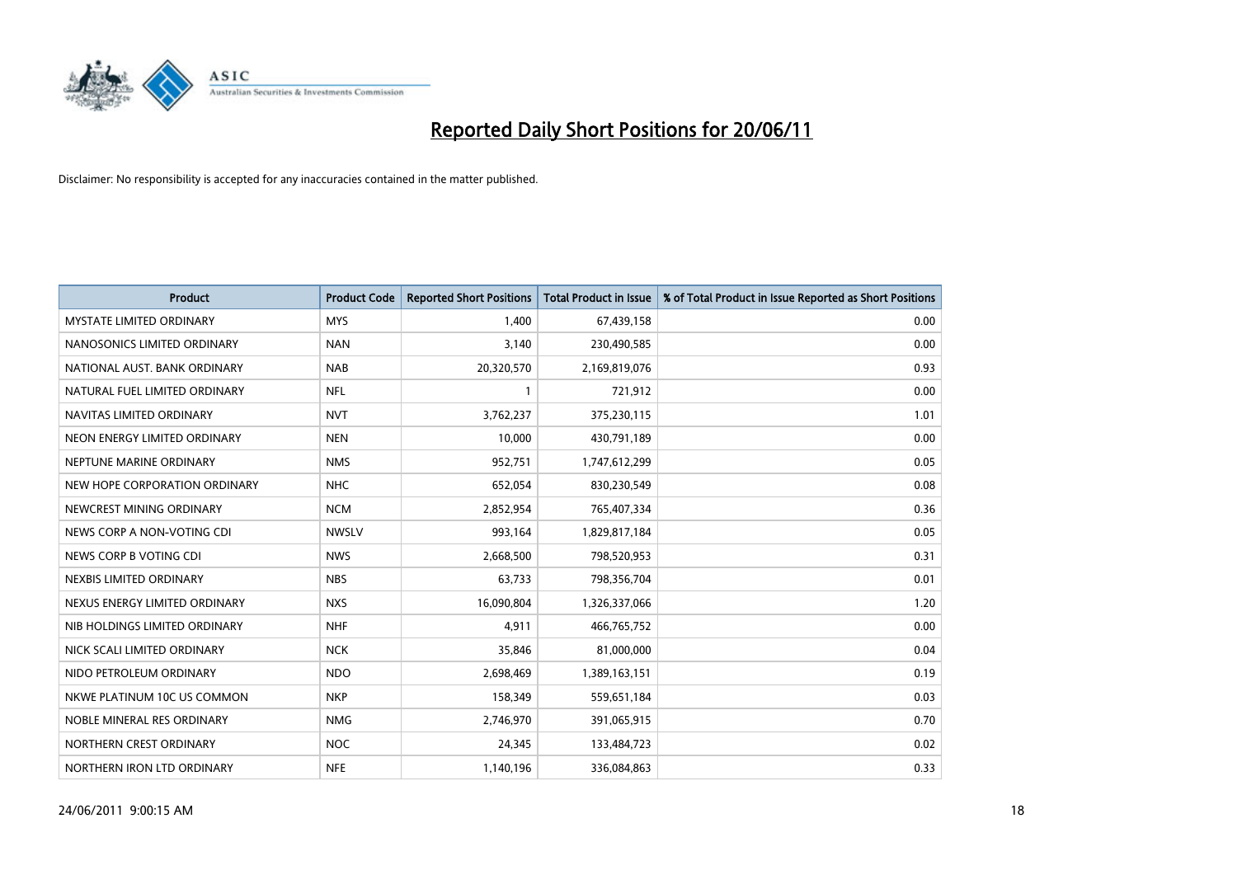

| <b>Product</b>                  | <b>Product Code</b> | <b>Reported Short Positions</b> | <b>Total Product in Issue</b> | % of Total Product in Issue Reported as Short Positions |
|---------------------------------|---------------------|---------------------------------|-------------------------------|---------------------------------------------------------|
| <b>MYSTATE LIMITED ORDINARY</b> | <b>MYS</b>          | 1,400                           | 67,439,158                    | 0.00                                                    |
| NANOSONICS LIMITED ORDINARY     | <b>NAN</b>          | 3,140                           | 230,490,585                   | 0.00                                                    |
| NATIONAL AUST. BANK ORDINARY    | <b>NAB</b>          | 20,320,570                      | 2,169,819,076                 | 0.93                                                    |
| NATURAL FUEL LIMITED ORDINARY   | <b>NFL</b>          | $\mathbf{1}$                    | 721,912                       | 0.00                                                    |
| NAVITAS LIMITED ORDINARY        | <b>NVT</b>          | 3,762,237                       | 375,230,115                   | 1.01                                                    |
| NEON ENERGY LIMITED ORDINARY    | <b>NEN</b>          | 10,000                          | 430,791,189                   | 0.00                                                    |
| NEPTUNE MARINE ORDINARY         | <b>NMS</b>          | 952,751                         | 1,747,612,299                 | 0.05                                                    |
| NEW HOPE CORPORATION ORDINARY   | <b>NHC</b>          | 652,054                         | 830,230,549                   | 0.08                                                    |
| NEWCREST MINING ORDINARY        | <b>NCM</b>          | 2,852,954                       | 765,407,334                   | 0.36                                                    |
| NEWS CORP A NON-VOTING CDI      | <b>NWSLV</b>        | 993,164                         | 1,829,817,184                 | 0.05                                                    |
| NEWS CORP B VOTING CDI          | <b>NWS</b>          | 2,668,500                       | 798,520,953                   | 0.31                                                    |
| NEXBIS LIMITED ORDINARY         | <b>NBS</b>          | 63,733                          | 798,356,704                   | 0.01                                                    |
| NEXUS ENERGY LIMITED ORDINARY   | <b>NXS</b>          | 16,090,804                      | 1,326,337,066                 | 1.20                                                    |
| NIB HOLDINGS LIMITED ORDINARY   | <b>NHF</b>          | 4,911                           | 466,765,752                   | 0.00                                                    |
| NICK SCALI LIMITED ORDINARY     | <b>NCK</b>          | 35,846                          | 81,000,000                    | 0.04                                                    |
| NIDO PETROLEUM ORDINARY         | <b>NDO</b>          | 2,698,469                       | 1,389,163,151                 | 0.19                                                    |
| NKWE PLATINUM 10C US COMMON     | <b>NKP</b>          | 158,349                         | 559,651,184                   | 0.03                                                    |
| NOBLE MINERAL RES ORDINARY      | <b>NMG</b>          | 2,746,970                       | 391,065,915                   | 0.70                                                    |
| NORTHERN CREST ORDINARY         | <b>NOC</b>          | 24,345                          | 133,484,723                   | 0.02                                                    |
| NORTHERN IRON LTD ORDINARY      | <b>NFE</b>          | 1,140,196                       | 336,084,863                   | 0.33                                                    |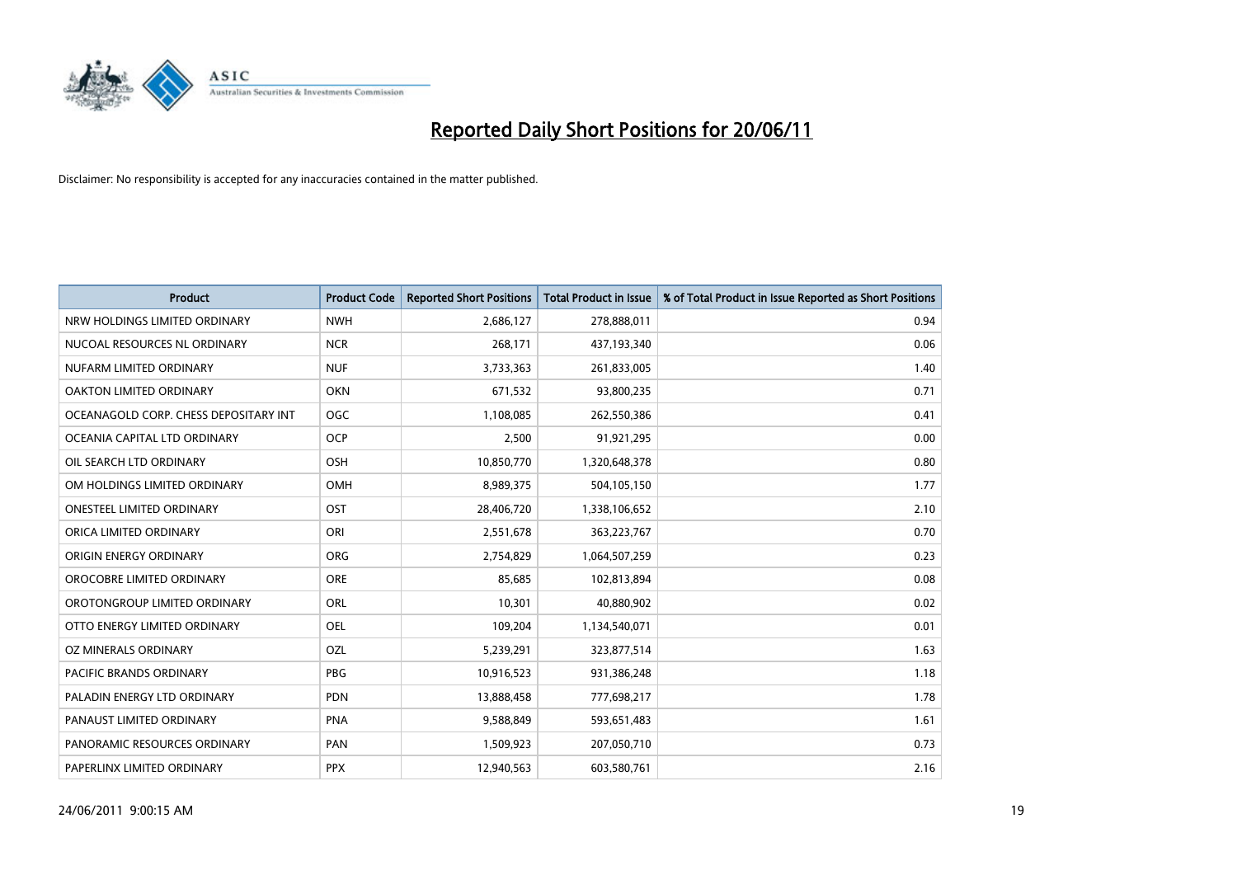

| <b>Product</b>                        | <b>Product Code</b> | <b>Reported Short Positions</b> | <b>Total Product in Issue</b> | % of Total Product in Issue Reported as Short Positions |
|---------------------------------------|---------------------|---------------------------------|-------------------------------|---------------------------------------------------------|
| NRW HOLDINGS LIMITED ORDINARY         | <b>NWH</b>          | 2,686,127                       | 278,888,011                   | 0.94                                                    |
| NUCOAL RESOURCES NL ORDINARY          | <b>NCR</b>          | 268,171                         | 437,193,340                   | 0.06                                                    |
| NUFARM LIMITED ORDINARY               | <b>NUF</b>          | 3,733,363                       | 261,833,005                   | 1.40                                                    |
| OAKTON LIMITED ORDINARY               | OKN                 | 671,532                         | 93,800,235                    | 0.71                                                    |
| OCEANAGOLD CORP. CHESS DEPOSITARY INT | <b>OGC</b>          | 1,108,085                       | 262,550,386                   | 0.41                                                    |
| OCEANIA CAPITAL LTD ORDINARY          | <b>OCP</b>          | 2,500                           | 91,921,295                    | 0.00                                                    |
| OIL SEARCH LTD ORDINARY               | OSH                 | 10,850,770                      | 1,320,648,378                 | 0.80                                                    |
| OM HOLDINGS LIMITED ORDINARY          | <b>OMH</b>          | 8,989,375                       | 504,105,150                   | 1.77                                                    |
| <b>ONESTEEL LIMITED ORDINARY</b>      | OST                 | 28,406,720                      | 1,338,106,652                 | 2.10                                                    |
| ORICA LIMITED ORDINARY                | ORI                 | 2,551,678                       | 363,223,767                   | 0.70                                                    |
| ORIGIN ENERGY ORDINARY                | <b>ORG</b>          | 2,754,829                       | 1,064,507,259                 | 0.23                                                    |
| OROCOBRE LIMITED ORDINARY             | <b>ORE</b>          | 85,685                          | 102,813,894                   | 0.08                                                    |
| OROTONGROUP LIMITED ORDINARY          | <b>ORL</b>          | 10,301                          | 40,880,902                    | 0.02                                                    |
| OTTO ENERGY LIMITED ORDINARY          | <b>OEL</b>          | 109,204                         | 1,134,540,071                 | 0.01                                                    |
| OZ MINERALS ORDINARY                  | OZL                 | 5,239,291                       | 323,877,514                   | 1.63                                                    |
| PACIFIC BRANDS ORDINARY               | <b>PBG</b>          | 10,916,523                      | 931,386,248                   | 1.18                                                    |
| PALADIN ENERGY LTD ORDINARY           | <b>PDN</b>          | 13,888,458                      | 777,698,217                   | 1.78                                                    |
| PANAUST LIMITED ORDINARY              | <b>PNA</b>          | 9,588,849                       | 593,651,483                   | 1.61                                                    |
| PANORAMIC RESOURCES ORDINARY          | PAN                 | 1,509,923                       | 207,050,710                   | 0.73                                                    |
| PAPERLINX LIMITED ORDINARY            | <b>PPX</b>          | 12,940,563                      | 603,580,761                   | 2.16                                                    |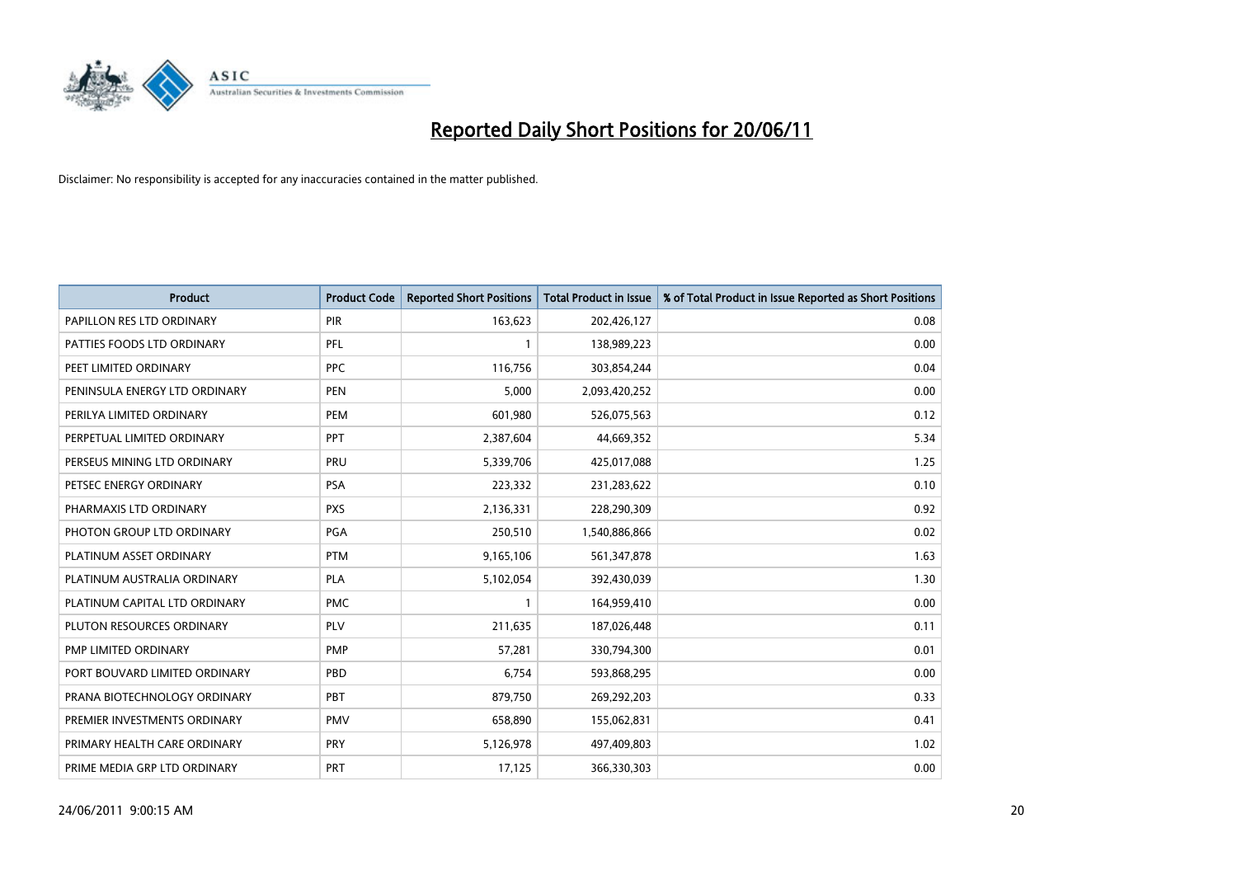

| <b>Product</b>                | <b>Product Code</b> | <b>Reported Short Positions</b> | <b>Total Product in Issue</b> | % of Total Product in Issue Reported as Short Positions |
|-------------------------------|---------------------|---------------------------------|-------------------------------|---------------------------------------------------------|
| PAPILLON RES LTD ORDINARY     | PIR                 | 163,623                         | 202,426,127                   | 0.08                                                    |
| PATTIES FOODS LTD ORDINARY    | PFL                 |                                 | 138,989,223                   | 0.00                                                    |
| PEET LIMITED ORDINARY         | <b>PPC</b>          | 116,756                         | 303,854,244                   | 0.04                                                    |
| PENINSULA ENERGY LTD ORDINARY | <b>PEN</b>          | 5,000                           | 2,093,420,252                 | 0.00                                                    |
| PERILYA LIMITED ORDINARY      | PEM                 | 601,980                         | 526,075,563                   | 0.12                                                    |
| PERPETUAL LIMITED ORDINARY    | PPT                 | 2,387,604                       | 44,669,352                    | 5.34                                                    |
| PERSEUS MINING LTD ORDINARY   | PRU                 | 5,339,706                       | 425,017,088                   | 1.25                                                    |
| PETSEC ENERGY ORDINARY        | <b>PSA</b>          | 223,332                         | 231,283,622                   | 0.10                                                    |
| PHARMAXIS LTD ORDINARY        | <b>PXS</b>          | 2,136,331                       | 228,290,309                   | 0.92                                                    |
| PHOTON GROUP LTD ORDINARY     | <b>PGA</b>          | 250,510                         | 1,540,886,866                 | 0.02                                                    |
| PLATINUM ASSET ORDINARY       | <b>PTM</b>          | 9,165,106                       | 561,347,878                   | 1.63                                                    |
| PLATINUM AUSTRALIA ORDINARY   | <b>PLA</b>          | 5,102,054                       | 392,430,039                   | 1.30                                                    |
| PLATINUM CAPITAL LTD ORDINARY | <b>PMC</b>          |                                 | 164,959,410                   | 0.00                                                    |
| PLUTON RESOURCES ORDINARY     | <b>PLV</b>          | 211,635                         | 187,026,448                   | 0.11                                                    |
| PMP LIMITED ORDINARY          | PMP                 | 57,281                          | 330,794,300                   | 0.01                                                    |
| PORT BOUVARD LIMITED ORDINARY | PBD                 | 6,754                           | 593,868,295                   | 0.00                                                    |
| PRANA BIOTECHNOLOGY ORDINARY  | <b>PBT</b>          | 879,750                         | 269,292,203                   | 0.33                                                    |
| PREMIER INVESTMENTS ORDINARY  | <b>PMV</b>          | 658,890                         | 155,062,831                   | 0.41                                                    |
| PRIMARY HEALTH CARE ORDINARY  | <b>PRY</b>          | 5,126,978                       | 497,409,803                   | 1.02                                                    |
| PRIME MEDIA GRP LTD ORDINARY  | PRT                 | 17,125                          | 366,330,303                   | 0.00                                                    |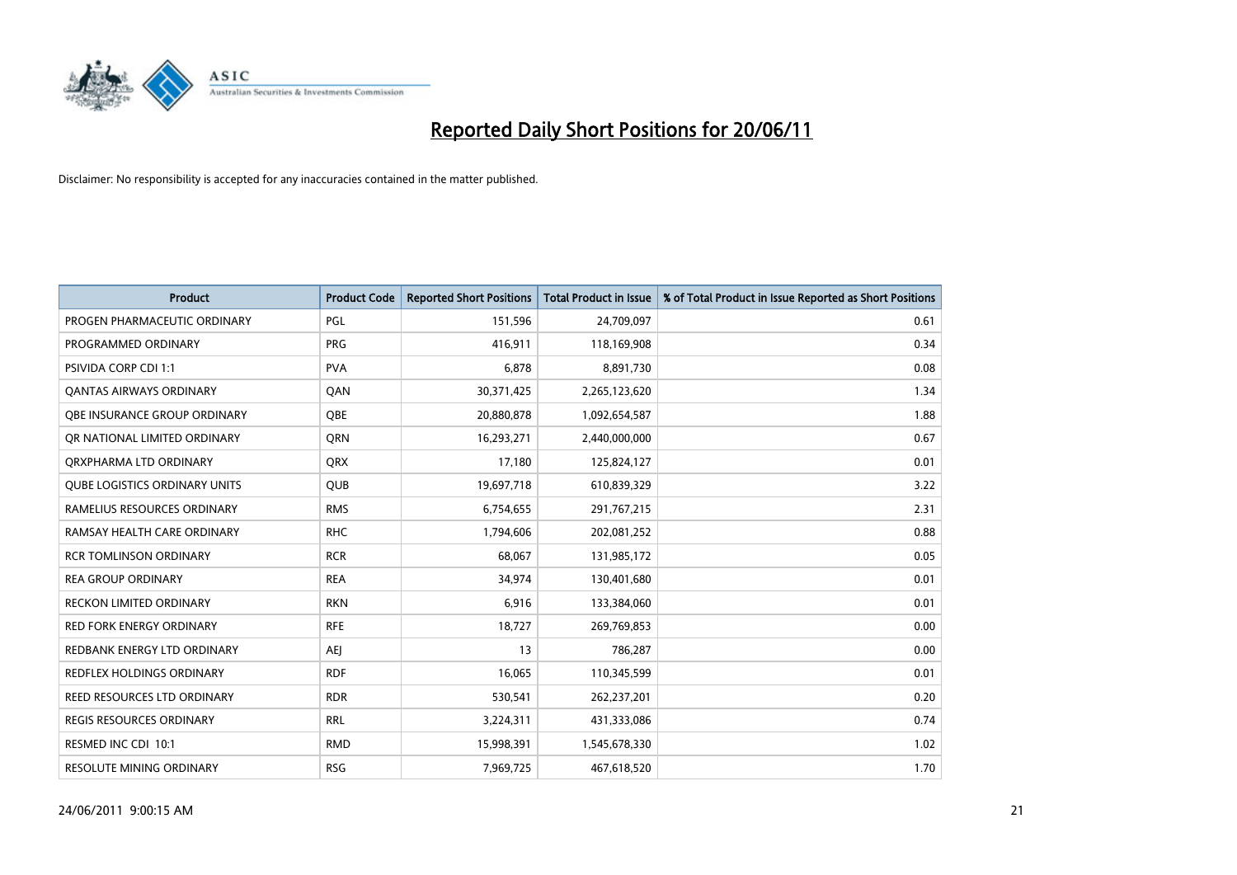

| <b>Product</b>                       | <b>Product Code</b> | <b>Reported Short Positions</b> | <b>Total Product in Issue</b> | % of Total Product in Issue Reported as Short Positions |
|--------------------------------------|---------------------|---------------------------------|-------------------------------|---------------------------------------------------------|
| PROGEN PHARMACEUTIC ORDINARY         | <b>PGL</b>          | 151,596                         | 24,709,097                    | 0.61                                                    |
| PROGRAMMED ORDINARY                  | <b>PRG</b>          | 416,911                         | 118,169,908                   | 0.34                                                    |
| <b>PSIVIDA CORP CDI 1:1</b>          | <b>PVA</b>          | 6,878                           | 8,891,730                     | 0.08                                                    |
| <b>QANTAS AIRWAYS ORDINARY</b>       | QAN                 | 30,371,425                      | 2,265,123,620                 | 1.34                                                    |
| <b>QBE INSURANCE GROUP ORDINARY</b>  | <b>OBE</b>          | 20,880,878                      | 1,092,654,587                 | 1.88                                                    |
| OR NATIONAL LIMITED ORDINARY         | <b>ORN</b>          | 16,293,271                      | 2,440,000,000                 | 0.67                                                    |
| ORXPHARMA LTD ORDINARY               | <b>ORX</b>          | 17,180                          | 125,824,127                   | 0.01                                                    |
| <b>QUBE LOGISTICS ORDINARY UNITS</b> | <b>OUB</b>          | 19,697,718                      | 610,839,329                   | 3.22                                                    |
| RAMELIUS RESOURCES ORDINARY          | <b>RMS</b>          | 6,754,655                       | 291,767,215                   | 2.31                                                    |
| RAMSAY HEALTH CARE ORDINARY          | <b>RHC</b>          | 1,794,606                       | 202,081,252                   | 0.88                                                    |
| RCR TOMLINSON ORDINARY               | <b>RCR</b>          | 68,067                          | 131,985,172                   | 0.05                                                    |
| <b>REA GROUP ORDINARY</b>            | <b>REA</b>          | 34,974                          | 130,401,680                   | 0.01                                                    |
| RECKON LIMITED ORDINARY              | <b>RKN</b>          | 6,916                           | 133,384,060                   | 0.01                                                    |
| <b>RED FORK ENERGY ORDINARY</b>      | <b>RFE</b>          | 18,727                          | 269,769,853                   | 0.00                                                    |
| REDBANK ENERGY LTD ORDINARY          | <b>AEI</b>          | 13                              | 786,287                       | 0.00                                                    |
| <b>REDFLEX HOLDINGS ORDINARY</b>     | <b>RDF</b>          | 16,065                          | 110,345,599                   | 0.01                                                    |
| REED RESOURCES LTD ORDINARY          | <b>RDR</b>          | 530,541                         | 262,237,201                   | 0.20                                                    |
| REGIS RESOURCES ORDINARY             | <b>RRL</b>          | 3,224,311                       | 431,333,086                   | 0.74                                                    |
| RESMED INC CDI 10:1                  | <b>RMD</b>          | 15,998,391                      | 1,545,678,330                 | 1.02                                                    |
| RESOLUTE MINING ORDINARY             | <b>RSG</b>          | 7,969,725                       | 467,618,520                   | 1.70                                                    |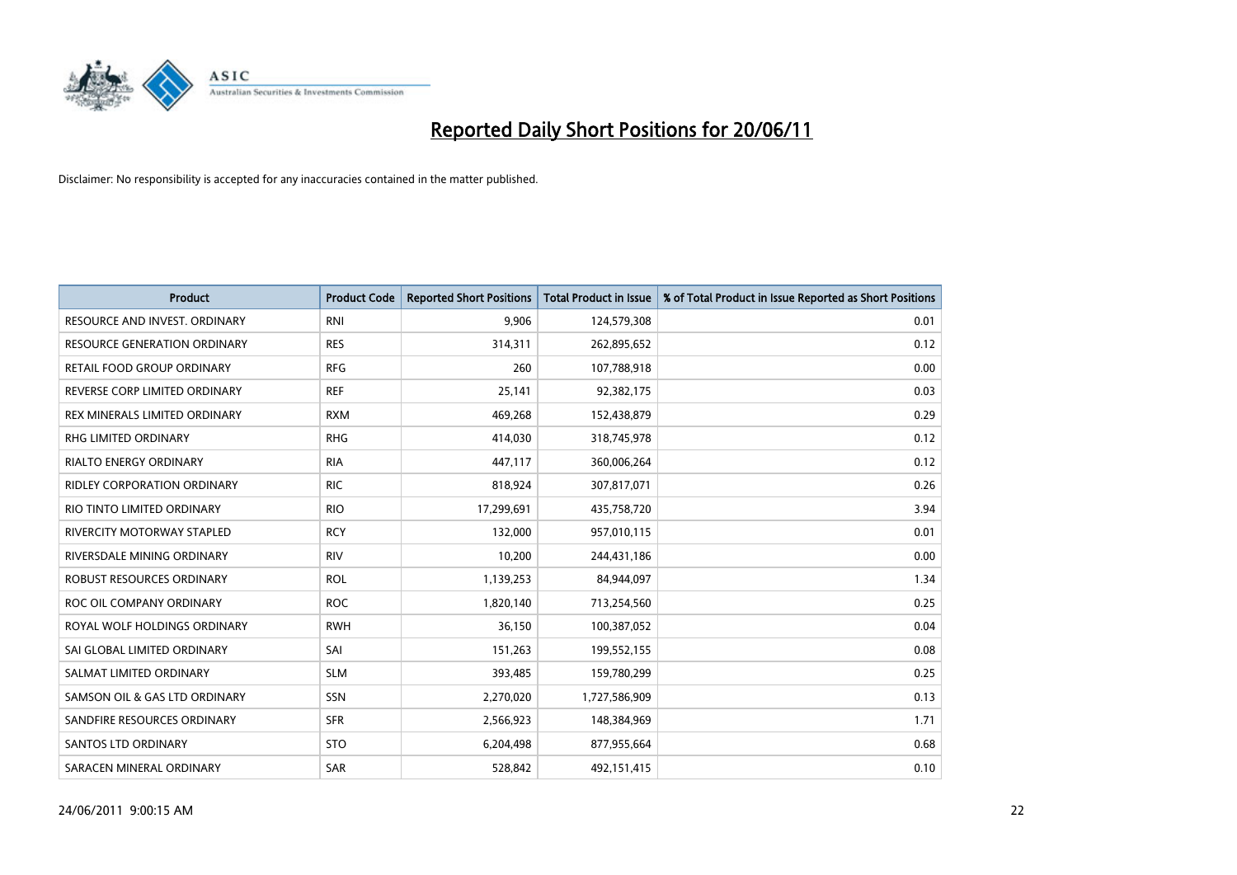

| <b>Product</b>                      | <b>Product Code</b> | <b>Reported Short Positions</b> | Total Product in Issue | % of Total Product in Issue Reported as Short Positions |
|-------------------------------------|---------------------|---------------------------------|------------------------|---------------------------------------------------------|
| RESOURCE AND INVEST. ORDINARY       | <b>RNI</b>          | 9,906                           | 124,579,308            | 0.01                                                    |
| <b>RESOURCE GENERATION ORDINARY</b> | <b>RES</b>          | 314,311                         | 262,895,652            | 0.12                                                    |
| RETAIL FOOD GROUP ORDINARY          | <b>RFG</b>          | 260                             | 107,788,918            | 0.00                                                    |
| REVERSE CORP LIMITED ORDINARY       | <b>REF</b>          | 25,141                          | 92,382,175             | 0.03                                                    |
| REX MINERALS LIMITED ORDINARY       | <b>RXM</b>          | 469,268                         | 152,438,879            | 0.29                                                    |
| <b>RHG LIMITED ORDINARY</b>         | <b>RHG</b>          | 414,030                         | 318,745,978            | 0.12                                                    |
| RIALTO ENERGY ORDINARY              | <b>RIA</b>          | 447,117                         | 360,006,264            | 0.12                                                    |
| <b>RIDLEY CORPORATION ORDINARY</b>  | <b>RIC</b>          | 818,924                         | 307,817,071            | 0.26                                                    |
| RIO TINTO LIMITED ORDINARY          | <b>RIO</b>          | 17,299,691                      | 435,758,720            | 3.94                                                    |
| RIVERCITY MOTORWAY STAPLED          | <b>RCY</b>          | 132,000                         | 957,010,115            | 0.01                                                    |
| RIVERSDALE MINING ORDINARY          | <b>RIV</b>          | 10,200                          | 244,431,186            | 0.00                                                    |
| ROBUST RESOURCES ORDINARY           | <b>ROL</b>          | 1,139,253                       | 84,944,097             | 1.34                                                    |
| ROC OIL COMPANY ORDINARY            | <b>ROC</b>          | 1,820,140                       | 713,254,560            | 0.25                                                    |
| ROYAL WOLF HOLDINGS ORDINARY        | <b>RWH</b>          | 36,150                          | 100,387,052            | 0.04                                                    |
| SAI GLOBAL LIMITED ORDINARY         | SAI                 | 151,263                         | 199,552,155            | 0.08                                                    |
| SALMAT LIMITED ORDINARY             | <b>SLM</b>          | 393,485                         | 159,780,299            | 0.25                                                    |
| SAMSON OIL & GAS LTD ORDINARY       | SSN                 | 2,270,020                       | 1,727,586,909          | 0.13                                                    |
| SANDFIRE RESOURCES ORDINARY         | <b>SFR</b>          | 2,566,923                       | 148,384,969            | 1.71                                                    |
| <b>SANTOS LTD ORDINARY</b>          | <b>STO</b>          | 6,204,498                       | 877,955,664            | 0.68                                                    |
| SARACEN MINERAL ORDINARY            | <b>SAR</b>          | 528,842                         | 492,151,415            | 0.10                                                    |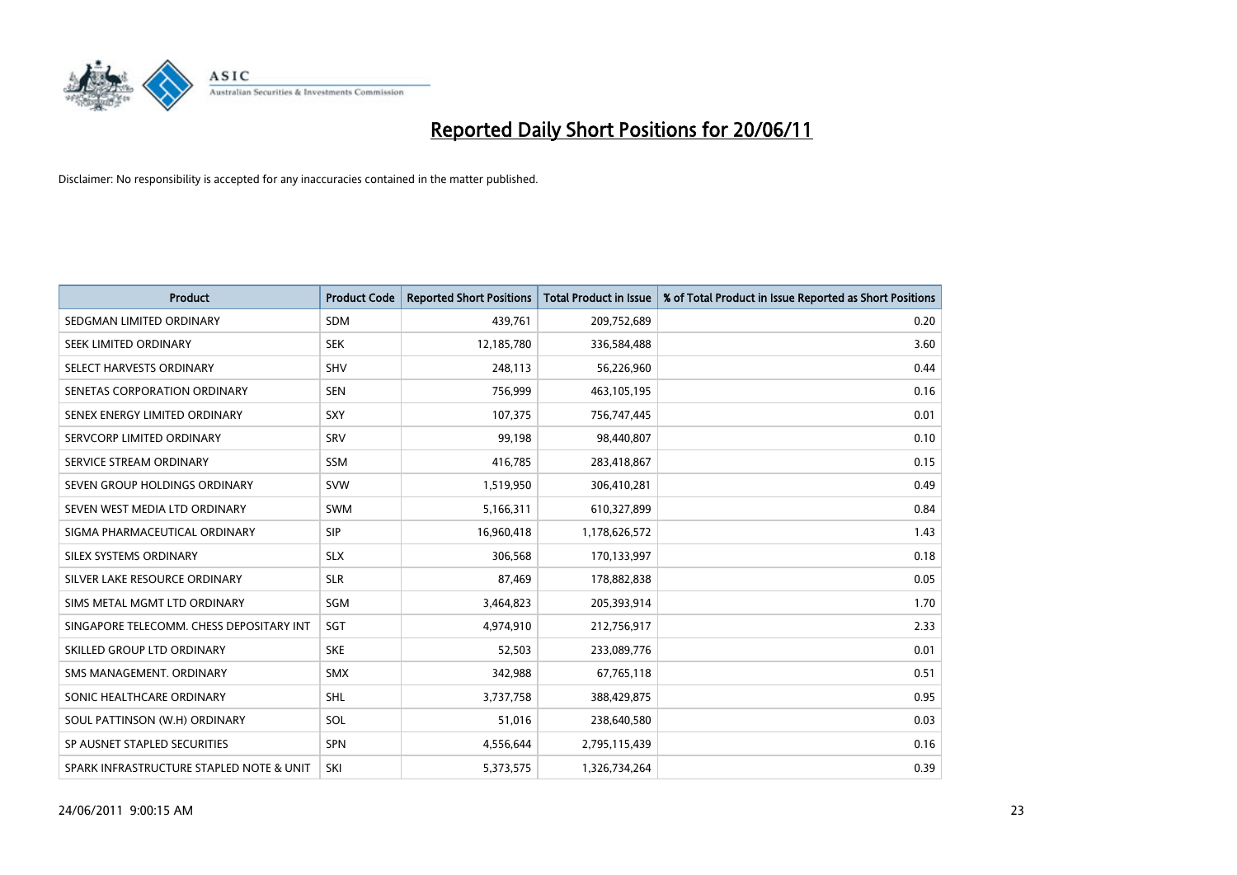

| <b>Product</b>                           | <b>Product Code</b> | <b>Reported Short Positions</b> | <b>Total Product in Issue</b> | % of Total Product in Issue Reported as Short Positions |
|------------------------------------------|---------------------|---------------------------------|-------------------------------|---------------------------------------------------------|
| SEDGMAN LIMITED ORDINARY                 | <b>SDM</b>          | 439,761                         | 209,752,689                   | 0.20                                                    |
| SEEK LIMITED ORDINARY                    | <b>SEK</b>          | 12,185,780                      | 336,584,488                   | 3.60                                                    |
| SELECT HARVESTS ORDINARY                 | SHV                 | 248,113                         | 56,226,960                    | 0.44                                                    |
| SENETAS CORPORATION ORDINARY             | <b>SEN</b>          | 756,999                         | 463,105,195                   | 0.16                                                    |
| SENEX ENERGY LIMITED ORDINARY            | <b>SXY</b>          | 107,375                         | 756,747,445                   | 0.01                                                    |
| SERVCORP LIMITED ORDINARY                | SRV                 | 99,198                          | 98,440,807                    | 0.10                                                    |
| SERVICE STREAM ORDINARY                  | <b>SSM</b>          | 416,785                         | 283,418,867                   | 0.15                                                    |
| SEVEN GROUP HOLDINGS ORDINARY            | <b>SVW</b>          | 1,519,950                       | 306,410,281                   | 0.49                                                    |
| SEVEN WEST MEDIA LTD ORDINARY            | <b>SWM</b>          | 5,166,311                       | 610,327,899                   | 0.84                                                    |
| SIGMA PHARMACEUTICAL ORDINARY            | SIP                 | 16,960,418                      | 1,178,626,572                 | 1.43                                                    |
| SILEX SYSTEMS ORDINARY                   | <b>SLX</b>          | 306,568                         | 170,133,997                   | 0.18                                                    |
| SILVER LAKE RESOURCE ORDINARY            | <b>SLR</b>          | 87,469                          | 178,882,838                   | 0.05                                                    |
| SIMS METAL MGMT LTD ORDINARY             | SGM                 | 3,464,823                       | 205,393,914                   | 1.70                                                    |
| SINGAPORE TELECOMM. CHESS DEPOSITARY INT | SGT                 | 4,974,910                       | 212,756,917                   | 2.33                                                    |
| SKILLED GROUP LTD ORDINARY               | <b>SKE</b>          | 52,503                          | 233,089,776                   | 0.01                                                    |
| SMS MANAGEMENT. ORDINARY                 | <b>SMX</b>          | 342,988                         | 67,765,118                    | 0.51                                                    |
| SONIC HEALTHCARE ORDINARY                | <b>SHL</b>          | 3,737,758                       | 388,429,875                   | 0.95                                                    |
| SOUL PATTINSON (W.H) ORDINARY            | SOL                 | 51,016                          | 238,640,580                   | 0.03                                                    |
| SP AUSNET STAPLED SECURITIES             | SPN                 | 4,556,644                       | 2,795,115,439                 | 0.16                                                    |
| SPARK INFRASTRUCTURE STAPLED NOTE & UNIT | SKI                 | 5,373,575                       | 1,326,734,264                 | 0.39                                                    |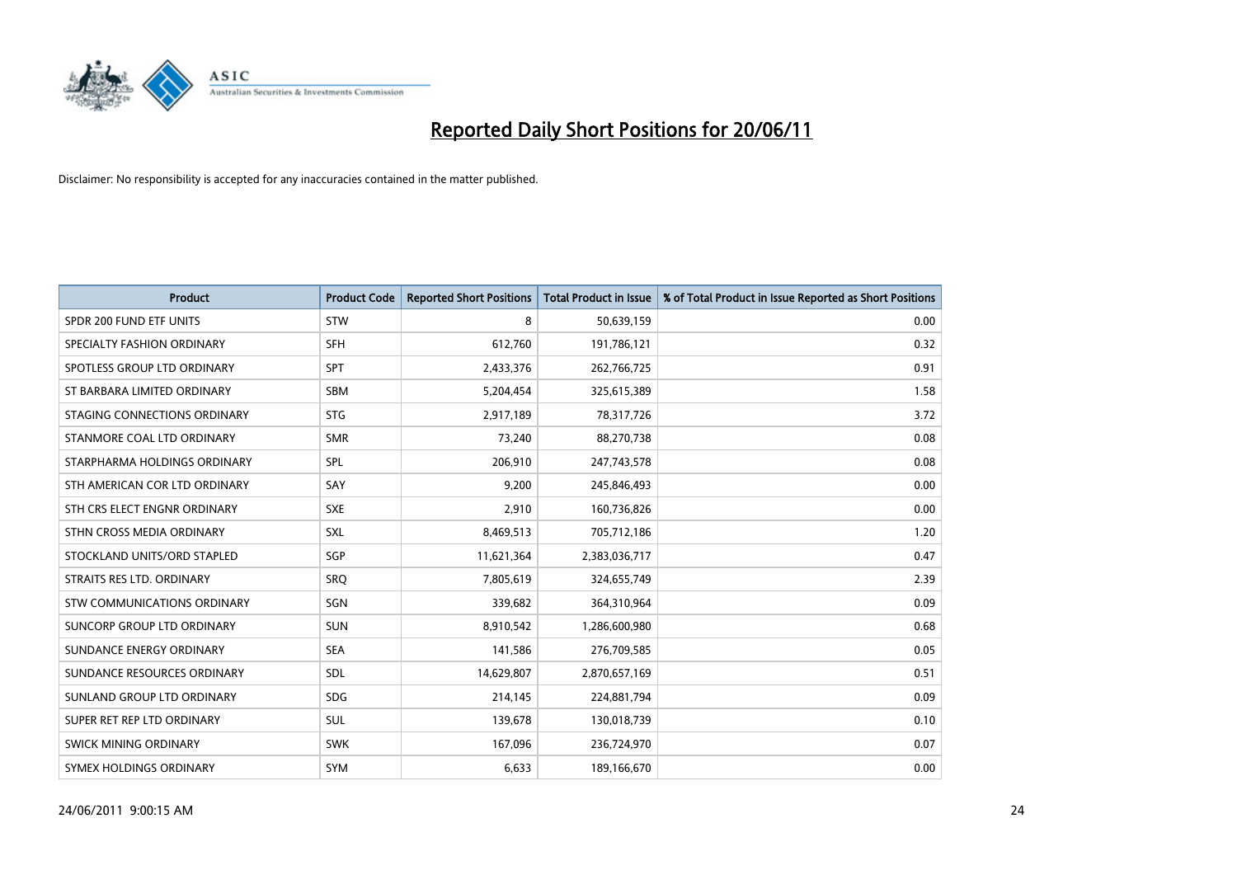

| <b>Product</b>                     | <b>Product Code</b> | <b>Reported Short Positions</b> | Total Product in Issue | % of Total Product in Issue Reported as Short Positions |
|------------------------------------|---------------------|---------------------------------|------------------------|---------------------------------------------------------|
| SPDR 200 FUND ETF UNITS            | STW                 | 8                               | 50,639,159             | 0.00                                                    |
| SPECIALTY FASHION ORDINARY         | <b>SFH</b>          | 612,760                         | 191,786,121            | 0.32                                                    |
| SPOTLESS GROUP LTD ORDINARY        | <b>SPT</b>          | 2,433,376                       | 262,766,725            | 0.91                                                    |
| ST BARBARA LIMITED ORDINARY        | <b>SBM</b>          | 5,204,454                       | 325,615,389            | 1.58                                                    |
| STAGING CONNECTIONS ORDINARY       | <b>STG</b>          | 2,917,189                       | 78,317,726             | 3.72                                                    |
| STANMORE COAL LTD ORDINARY         | <b>SMR</b>          | 73,240                          | 88,270,738             | 0.08                                                    |
| STARPHARMA HOLDINGS ORDINARY       | SPL                 | 206,910                         | 247,743,578            | 0.08                                                    |
| STH AMERICAN COR LTD ORDINARY      | SAY                 | 9,200                           | 245,846,493            | 0.00                                                    |
| STH CRS ELECT ENGNR ORDINARY       | <b>SXE</b>          | 2,910                           | 160,736,826            | 0.00                                                    |
| STHN CROSS MEDIA ORDINARY          | <b>SXL</b>          | 8,469,513                       | 705,712,186            | 1.20                                                    |
| STOCKLAND UNITS/ORD STAPLED        | SGP                 | 11,621,364                      | 2,383,036,717          | 0.47                                                    |
| STRAITS RES LTD. ORDINARY          | SRO                 | 7,805,619                       | 324,655,749            | 2.39                                                    |
| <b>STW COMMUNICATIONS ORDINARY</b> | SGN                 | 339,682                         | 364,310,964            | 0.09                                                    |
| <b>SUNCORP GROUP LTD ORDINARY</b>  | <b>SUN</b>          | 8,910,542                       | 1,286,600,980          | 0.68                                                    |
| SUNDANCE ENERGY ORDINARY           | <b>SEA</b>          | 141,586                         | 276,709,585            | 0.05                                                    |
| SUNDANCE RESOURCES ORDINARY        | SDL                 | 14,629,807                      | 2,870,657,169          | 0.51                                                    |
| SUNLAND GROUP LTD ORDINARY         | <b>SDG</b>          | 214,145                         | 224,881,794            | 0.09                                                    |
| SUPER RET REP LTD ORDINARY         | SUL                 | 139,678                         | 130,018,739            | 0.10                                                    |
| <b>SWICK MINING ORDINARY</b>       | <b>SWK</b>          | 167,096                         | 236,724,970            | 0.07                                                    |
| SYMEX HOLDINGS ORDINARY            | <b>SYM</b>          | 6,633                           | 189,166,670            | 0.00                                                    |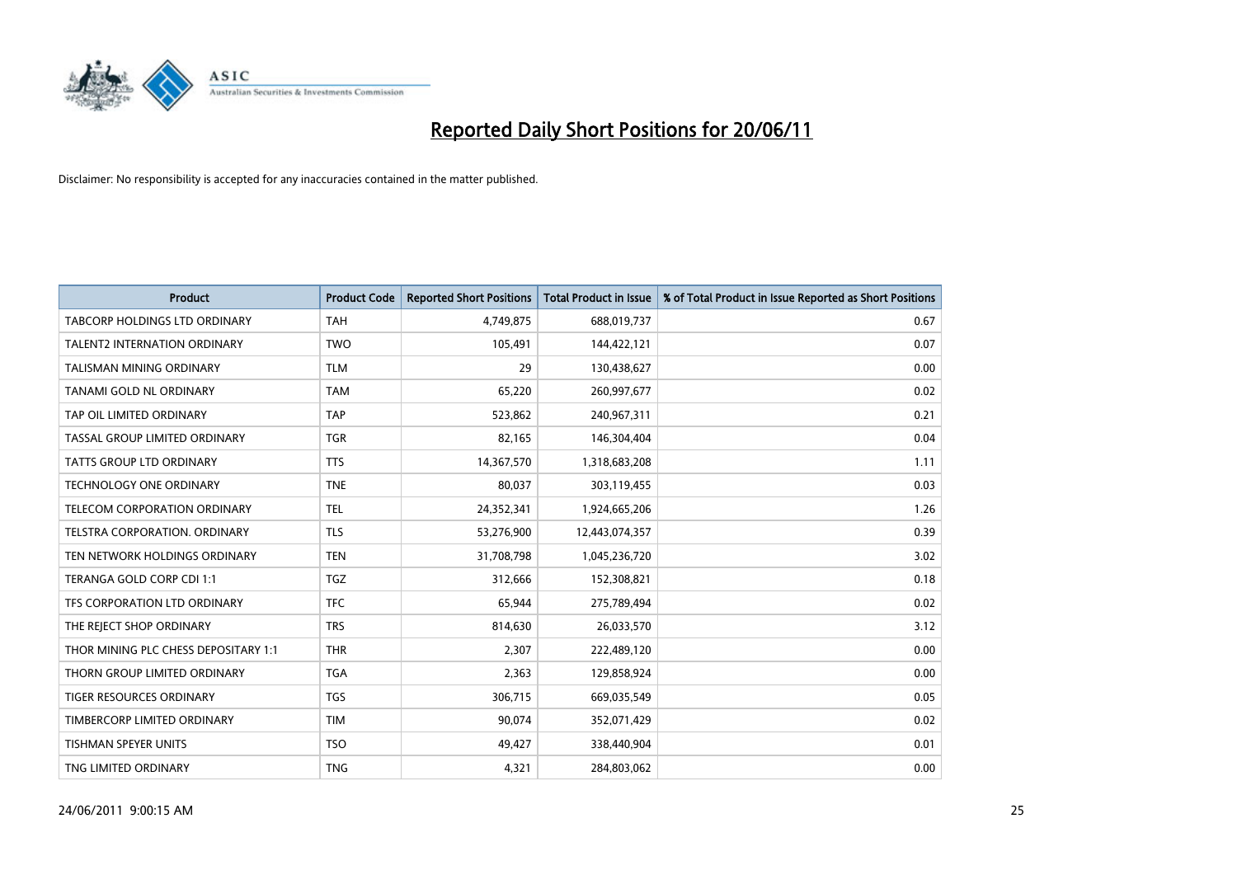

| <b>Product</b>                       | <b>Product Code</b> | <b>Reported Short Positions</b> | Total Product in Issue | % of Total Product in Issue Reported as Short Positions |
|--------------------------------------|---------------------|---------------------------------|------------------------|---------------------------------------------------------|
| <b>TABCORP HOLDINGS LTD ORDINARY</b> | <b>TAH</b>          | 4,749,875                       | 688,019,737            | 0.67                                                    |
| TALENT2 INTERNATION ORDINARY         | <b>TWO</b>          | 105,491                         | 144,422,121            | 0.07                                                    |
| <b>TALISMAN MINING ORDINARY</b>      | <b>TLM</b>          | 29                              | 130,438,627            | 0.00                                                    |
| TANAMI GOLD NL ORDINARY              | <b>TAM</b>          | 65,220                          | 260,997,677            | 0.02                                                    |
| TAP OIL LIMITED ORDINARY             | <b>TAP</b>          | 523,862                         | 240,967,311            | 0.21                                                    |
| TASSAL GROUP LIMITED ORDINARY        | <b>TGR</b>          | 82,165                          | 146,304,404            | 0.04                                                    |
| <b>TATTS GROUP LTD ORDINARY</b>      | <b>TTS</b>          | 14,367,570                      | 1,318,683,208          | 1.11                                                    |
| TECHNOLOGY ONE ORDINARY              | <b>TNE</b>          | 80,037                          | 303,119,455            | 0.03                                                    |
| TELECOM CORPORATION ORDINARY         | <b>TEL</b>          | 24,352,341                      | 1,924,665,206          | 1.26                                                    |
| <b>TELSTRA CORPORATION, ORDINARY</b> | <b>TLS</b>          | 53,276,900                      | 12,443,074,357         | 0.39                                                    |
| TEN NETWORK HOLDINGS ORDINARY        | <b>TEN</b>          | 31,708,798                      | 1,045,236,720          | 3.02                                                    |
| TERANGA GOLD CORP CDI 1:1            | <b>TGZ</b>          | 312,666                         | 152,308,821            | 0.18                                                    |
| TFS CORPORATION LTD ORDINARY         | <b>TFC</b>          | 65,944                          | 275,789,494            | 0.02                                                    |
| THE REJECT SHOP ORDINARY             | <b>TRS</b>          | 814,630                         | 26,033,570             | 3.12                                                    |
| THOR MINING PLC CHESS DEPOSITARY 1:1 | <b>THR</b>          | 2,307                           | 222,489,120            | 0.00                                                    |
| THORN GROUP LIMITED ORDINARY         | <b>TGA</b>          | 2,363                           | 129,858,924            | 0.00                                                    |
| TIGER RESOURCES ORDINARY             | <b>TGS</b>          | 306,715                         | 669,035,549            | 0.05                                                    |
| TIMBERCORP LIMITED ORDINARY          | <b>TIM</b>          | 90,074                          | 352,071,429            | 0.02                                                    |
| <b>TISHMAN SPEYER UNITS</b>          | <b>TSO</b>          | 49,427                          | 338,440,904            | 0.01                                                    |
| TNG LIMITED ORDINARY                 | <b>TNG</b>          | 4,321                           | 284,803,062            | 0.00                                                    |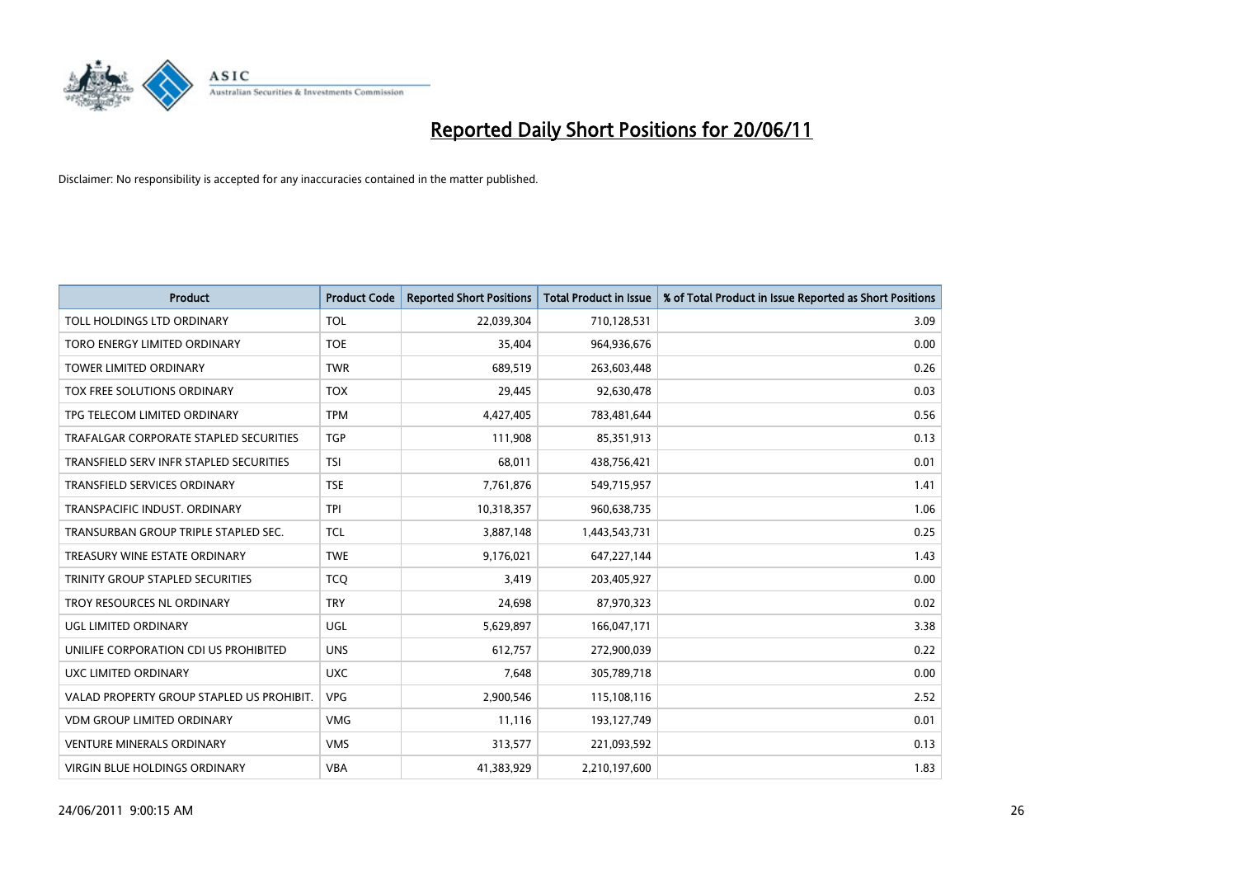

| <b>Product</b>                            | <b>Product Code</b> | <b>Reported Short Positions</b> | <b>Total Product in Issue</b> | % of Total Product in Issue Reported as Short Positions |
|-------------------------------------------|---------------------|---------------------------------|-------------------------------|---------------------------------------------------------|
| TOLL HOLDINGS LTD ORDINARY                | <b>TOL</b>          | 22,039,304                      | 710,128,531                   | 3.09                                                    |
| TORO ENERGY LIMITED ORDINARY              | <b>TOE</b>          | 35,404                          | 964,936,676                   | 0.00                                                    |
| <b>TOWER LIMITED ORDINARY</b>             | <b>TWR</b>          | 689.519                         | 263,603,448                   | 0.26                                                    |
| TOX FREE SOLUTIONS ORDINARY               | <b>TOX</b>          | 29,445                          | 92,630,478                    | 0.03                                                    |
| TPG TELECOM LIMITED ORDINARY              | <b>TPM</b>          | 4,427,405                       | 783,481,644                   | 0.56                                                    |
| TRAFALGAR CORPORATE STAPLED SECURITIES    | <b>TGP</b>          | 111,908                         | 85,351,913                    | 0.13                                                    |
| TRANSFIELD SERV INFR STAPLED SECURITIES   | <b>TSI</b>          | 68,011                          | 438,756,421                   | 0.01                                                    |
| TRANSFIELD SERVICES ORDINARY              | <b>TSE</b>          | 7,761,876                       | 549,715,957                   | 1.41                                                    |
| TRANSPACIFIC INDUST, ORDINARY             | <b>TPI</b>          | 10,318,357                      | 960,638,735                   | 1.06                                                    |
| TRANSURBAN GROUP TRIPLE STAPLED SEC.      | <b>TCL</b>          | 3,887,148                       | 1,443,543,731                 | 0.25                                                    |
| TREASURY WINE ESTATE ORDINARY             | <b>TWE</b>          | 9,176,021                       | 647,227,144                   | 1.43                                                    |
| TRINITY GROUP STAPLED SECURITIES          | <b>TCQ</b>          | 3,419                           | 203,405,927                   | 0.00                                                    |
| TROY RESOURCES NL ORDINARY                | <b>TRY</b>          | 24,698                          | 87,970,323                    | 0.02                                                    |
| UGL LIMITED ORDINARY                      | UGL                 | 5,629,897                       | 166,047,171                   | 3.38                                                    |
| UNILIFE CORPORATION CDI US PROHIBITED     | <b>UNS</b>          | 612,757                         | 272,900,039                   | 0.22                                                    |
| UXC LIMITED ORDINARY                      | <b>UXC</b>          | 7,648                           | 305,789,718                   | 0.00                                                    |
| VALAD PROPERTY GROUP STAPLED US PROHIBIT. | <b>VPG</b>          | 2,900,546                       | 115,108,116                   | 2.52                                                    |
| <b>VDM GROUP LIMITED ORDINARY</b>         | <b>VMG</b>          | 11,116                          | 193,127,749                   | 0.01                                                    |
| <b>VENTURE MINERALS ORDINARY</b>          | <b>VMS</b>          | 313,577                         | 221,093,592                   | 0.13                                                    |
| VIRGIN BLUE HOLDINGS ORDINARY             | <b>VBA</b>          | 41,383,929                      | 2,210,197,600                 | 1.83                                                    |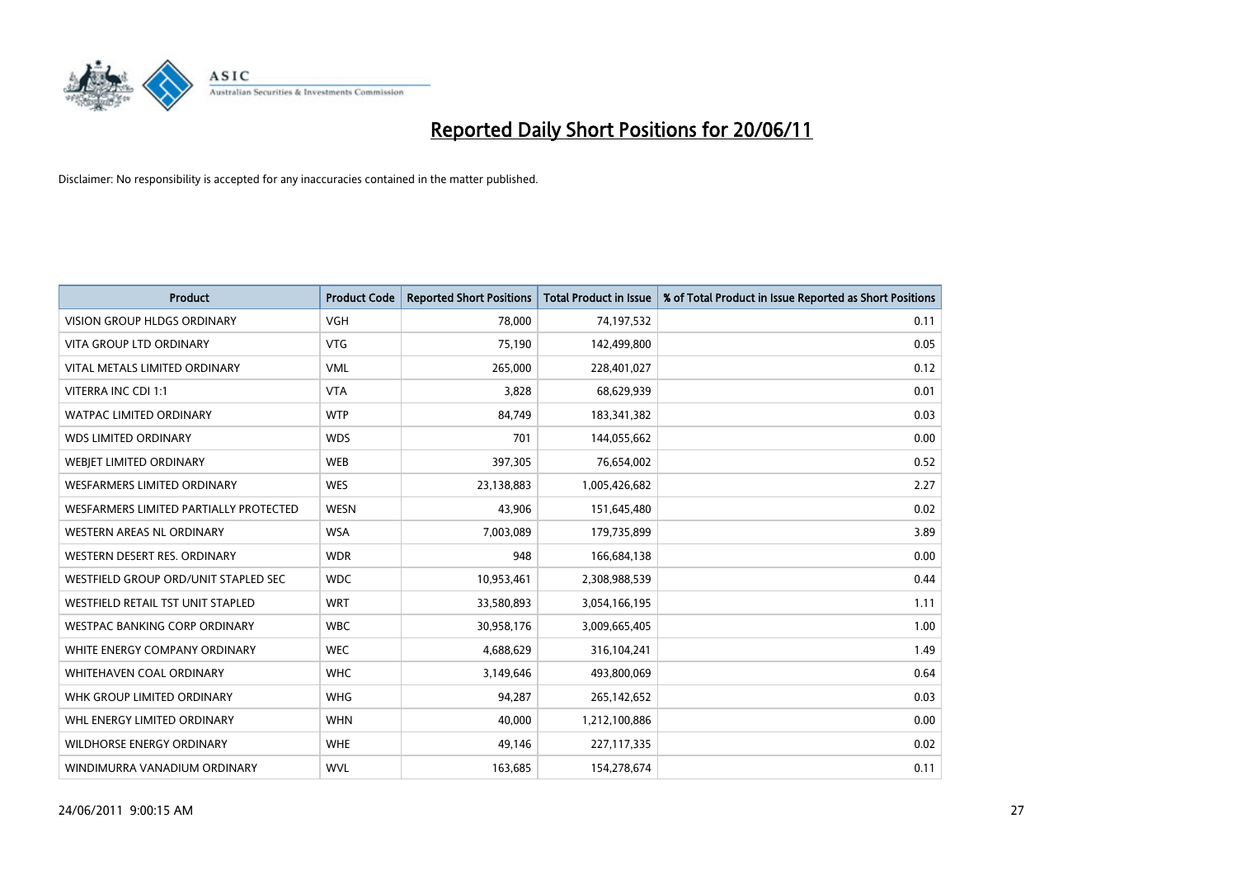

| <b>Product</b>                         | <b>Product Code</b> | <b>Reported Short Positions</b> | <b>Total Product in Issue</b> | % of Total Product in Issue Reported as Short Positions |
|----------------------------------------|---------------------|---------------------------------|-------------------------------|---------------------------------------------------------|
| <b>VISION GROUP HLDGS ORDINARY</b>     | <b>VGH</b>          | 78.000                          | 74,197,532                    | 0.11                                                    |
| VITA GROUP LTD ORDINARY                | <b>VTG</b>          | 75,190                          | 142,499,800                   | 0.05                                                    |
| VITAL METALS LIMITED ORDINARY          | <b>VML</b>          | 265,000                         | 228,401,027                   | 0.12                                                    |
| VITERRA INC CDI 1:1                    | <b>VTA</b>          | 3,828                           | 68,629,939                    | 0.01                                                    |
| <b>WATPAC LIMITED ORDINARY</b>         | <b>WTP</b>          | 84,749                          | 183,341,382                   | 0.03                                                    |
| <b>WDS LIMITED ORDINARY</b>            | <b>WDS</b>          | 701                             | 144,055,662                   | 0.00                                                    |
| <b>WEBIET LIMITED ORDINARY</b>         | <b>WEB</b>          | 397,305                         | 76,654,002                    | 0.52                                                    |
| <b>WESFARMERS LIMITED ORDINARY</b>     | <b>WES</b>          | 23,138,883                      | 1,005,426,682                 | 2.27                                                    |
| WESFARMERS LIMITED PARTIALLY PROTECTED | <b>WESN</b>         | 43,906                          | 151,645,480                   | 0.02                                                    |
| <b>WESTERN AREAS NL ORDINARY</b>       | <b>WSA</b>          | 7,003,089                       | 179,735,899                   | 3.89                                                    |
| WESTERN DESERT RES. ORDINARY           | <b>WDR</b>          | 948                             | 166,684,138                   | 0.00                                                    |
| WESTFIELD GROUP ORD/UNIT STAPLED SEC   | <b>WDC</b>          | 10,953,461                      | 2,308,988,539                 | 0.44                                                    |
| WESTFIELD RETAIL TST UNIT STAPLED      | <b>WRT</b>          | 33,580,893                      | 3,054,166,195                 | 1.11                                                    |
| WESTPAC BANKING CORP ORDINARY          | <b>WBC</b>          | 30,958,176                      | 3,009,665,405                 | 1.00                                                    |
| WHITE ENERGY COMPANY ORDINARY          | <b>WEC</b>          | 4,688,629                       | 316,104,241                   | 1.49                                                    |
| <b>WHITEHAVEN COAL ORDINARY</b>        | <b>WHC</b>          | 3,149,646                       | 493,800,069                   | 0.64                                                    |
| WHK GROUP LIMITED ORDINARY             | <b>WHG</b>          | 94,287                          | 265,142,652                   | 0.03                                                    |
| WHL ENERGY LIMITED ORDINARY            | <b>WHN</b>          | 40,000                          | 1,212,100,886                 | 0.00                                                    |
| <b>WILDHORSE ENERGY ORDINARY</b>       | <b>WHE</b>          | 49,146                          | 227, 117, 335                 | 0.02                                                    |
| WINDIMURRA VANADIUM ORDINARY           | <b>WVL</b>          | 163,685                         | 154,278,674                   | 0.11                                                    |